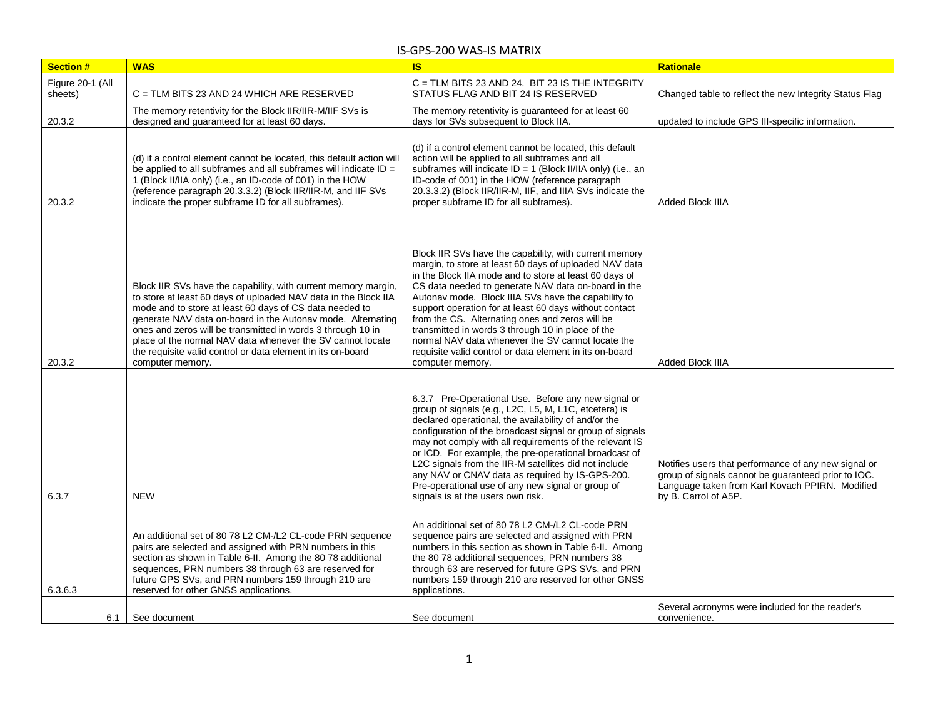| <b>Section #</b> | <b>WAS</b>                                                                                                                                                                                                                                                                                                                                                                                                                                                                  | <b>IS</b>                                                                                                                                                                                                                                                                                                                                                                                                                                                                                                                                                                                      | <b>Rationale</b>                                                                                                                                                                       |
|------------------|-----------------------------------------------------------------------------------------------------------------------------------------------------------------------------------------------------------------------------------------------------------------------------------------------------------------------------------------------------------------------------------------------------------------------------------------------------------------------------|------------------------------------------------------------------------------------------------------------------------------------------------------------------------------------------------------------------------------------------------------------------------------------------------------------------------------------------------------------------------------------------------------------------------------------------------------------------------------------------------------------------------------------------------------------------------------------------------|----------------------------------------------------------------------------------------------------------------------------------------------------------------------------------------|
| Figure 20-1 (All |                                                                                                                                                                                                                                                                                                                                                                                                                                                                             | C = TLM BITS 23 AND 24. BIT 23 IS THE INTEGRITY                                                                                                                                                                                                                                                                                                                                                                                                                                                                                                                                                |                                                                                                                                                                                        |
| sheets)          | C = TLM BITS 23 AND 24 WHICH ARE RESERVED                                                                                                                                                                                                                                                                                                                                                                                                                                   | STATUS FLAG AND BIT 24 IS RESERVED                                                                                                                                                                                                                                                                                                                                                                                                                                                                                                                                                             | Changed table to reflect the new Integrity Status Flag                                                                                                                                 |
| 20.3.2           | The memory retentivity for the Block IIR/IIR-M/IIF SVs is<br>designed and guaranteed for at least 60 days.                                                                                                                                                                                                                                                                                                                                                                  | The memory retentivity is guaranteed for at least 60<br>days for SVs subsequent to Block IIA.                                                                                                                                                                                                                                                                                                                                                                                                                                                                                                  | updated to include GPS III-specific information.                                                                                                                                       |
| 20.3.2           | (d) if a control element cannot be located, this default action will<br>be applied to all subframes and all subframes will indicate $ID =$<br>1 (Block II/IIA only) (i.e., an ID-code of 001) in the HOW<br>(reference paragraph 20.3.3.2) (Block IIR/IIR-M, and IIF SVs<br>indicate the proper subframe ID for all subframes).                                                                                                                                             | (d) if a control element cannot be located, this default<br>action will be applied to all subframes and all<br>subframes will indicate ID = 1 (Block II/IIA only) (i.e., an<br>ID-code of 001) in the HOW (reference paragraph<br>20.3.3.2) (Block IIR/IIR-M, IIF, and IIIA SVs indicate the<br>proper subframe ID for all subframes).                                                                                                                                                                                                                                                         | Added Block IIIA                                                                                                                                                                       |
| 20.3.2           | Block IIR SVs have the capability, with current memory margin,<br>to store at least 60 days of uploaded NAV data in the Block IIA<br>mode and to store at least 60 days of CS data needed to<br>generate NAV data on-board in the Autonav mode. Alternating<br>ones and zeros will be transmitted in words 3 through 10 in<br>place of the normal NAV data whenever the SV cannot locate<br>the requisite valid control or data element in its on-board<br>computer memory. | Block IIR SVs have the capability, with current memory<br>margin, to store at least 60 days of uploaded NAV data<br>in the Block IIA mode and to store at least 60 days of<br>CS data needed to generate NAV data on-board in the<br>Autonav mode. Block IIIA SVs have the capability to<br>support operation for at least 60 days without contact<br>from the CS. Alternating ones and zeros will be<br>transmitted in words 3 through 10 in place of the<br>normal NAV data whenever the SV cannot locate the<br>requisite valid control or data element in its on-board<br>computer memory. | Added Block IIIA                                                                                                                                                                       |
| 6.3.7            | <b>NEW</b>                                                                                                                                                                                                                                                                                                                                                                                                                                                                  | 6.3.7 Pre-Operational Use. Before any new signal or<br>group of signals (e.g., L2C, L5, M, L1C, etcetera) is<br>declared operational, the availability of and/or the<br>configuration of the broadcast signal or group of signals<br>may not comply with all requirements of the relevant IS<br>or ICD. For example, the pre-operational broadcast of<br>L2C signals from the IIR-M satellites did not include<br>any NAV or CNAV data as required by IS-GPS-200.<br>Pre-operational use of any new signal or group of<br>signals is at the users own risk.                                    | Notifies users that performance of any new signal or<br>group of signals cannot be guaranteed prior to IOC.<br>Language taken from Karl Kovach PPIRN. Modified<br>by B. Carrol of A5P. |
| 6.3.6.3          | An additional set of 80 78 L2 CM-/L2 CL-code PRN sequence<br>pairs are selected and assigned with PRN numbers in this<br>section as shown in Table 6-II. Among the 80 78 additional<br>sequences, PRN numbers 38 through 63 are reserved for<br>future GPS SVs, and PRN numbers 159 through 210 are<br>reserved for other GNSS applications.                                                                                                                                | An additional set of 80 78 L2 CM-/L2 CL-code PRN<br>sequence pairs are selected and assigned with PRN<br>numbers in this section as shown in Table 6-II. Among<br>the 80 78 additional sequences, PRN numbers 38<br>through 63 are reserved for future GPS SVs, and PRN<br>numbers 159 through 210 are reserved for other GNSS<br>applications.                                                                                                                                                                                                                                                |                                                                                                                                                                                        |
| 6.1              | See document                                                                                                                                                                                                                                                                                                                                                                                                                                                                | See document                                                                                                                                                                                                                                                                                                                                                                                                                                                                                                                                                                                   | Several acronyms were included for the reader's<br>convenience.                                                                                                                        |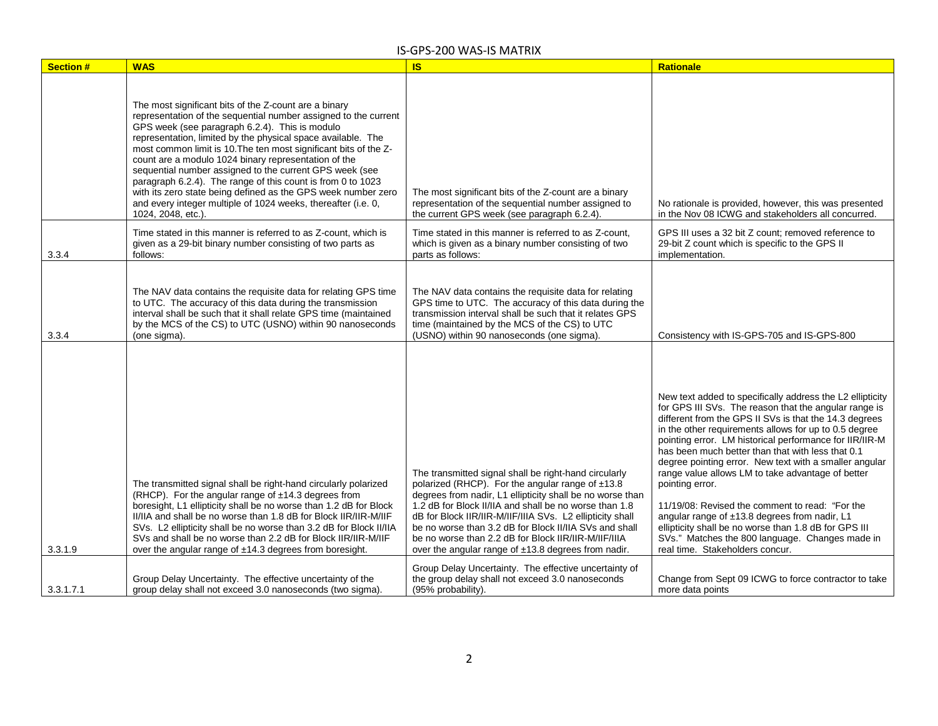| <b>Section #</b> | <b>WAS</b>                                                                                                                                                                                                                                                                                                                                                                                                                                                                                                                                                                                                                                               | <b>IS</b>                                                                                                                                                                                                                                                                                                                                                                                                                                                              | Rationale                                                                                                                                                                                                                                                                                                                                                                                                                                                                                                                                                                                                                                                                                                                                  |
|------------------|----------------------------------------------------------------------------------------------------------------------------------------------------------------------------------------------------------------------------------------------------------------------------------------------------------------------------------------------------------------------------------------------------------------------------------------------------------------------------------------------------------------------------------------------------------------------------------------------------------------------------------------------------------|------------------------------------------------------------------------------------------------------------------------------------------------------------------------------------------------------------------------------------------------------------------------------------------------------------------------------------------------------------------------------------------------------------------------------------------------------------------------|--------------------------------------------------------------------------------------------------------------------------------------------------------------------------------------------------------------------------------------------------------------------------------------------------------------------------------------------------------------------------------------------------------------------------------------------------------------------------------------------------------------------------------------------------------------------------------------------------------------------------------------------------------------------------------------------------------------------------------------------|
|                  | The most significant bits of the Z-count are a binary<br>representation of the sequential number assigned to the current<br>GPS week (see paragraph 6.2.4). This is modulo<br>representation, limited by the physical space available. The<br>most common limit is 10. The ten most significant bits of the Z-<br>count are a modulo 1024 binary representation of the<br>sequential number assigned to the current GPS week (see<br>paragraph 6.2.4). The range of this count is from 0 to 1023<br>with its zero state being defined as the GPS week number zero<br>and every integer multiple of 1024 weeks, thereafter (i.e. 0,<br>1024, 2048, etc.). | The most significant bits of the Z-count are a binary<br>representation of the sequential number assigned to<br>the current GPS week (see paragraph 6.2.4).                                                                                                                                                                                                                                                                                                            | No rationale is provided, however, this was presented<br>in the Nov 08 ICWG and stakeholders all concurred.                                                                                                                                                                                                                                                                                                                                                                                                                                                                                                                                                                                                                                |
| 3.3.4            | Time stated in this manner is referred to as Z-count, which is<br>given as a 29-bit binary number consisting of two parts as<br>follows:                                                                                                                                                                                                                                                                                                                                                                                                                                                                                                                 | Time stated in this manner is referred to as Z-count,<br>which is given as a binary number consisting of two<br>parts as follows:                                                                                                                                                                                                                                                                                                                                      | GPS III uses a 32 bit Z count; removed reference to<br>29-bit Z count which is specific to the GPS II<br>implementation.                                                                                                                                                                                                                                                                                                                                                                                                                                                                                                                                                                                                                   |
| 3.3.4            | The NAV data contains the requisite data for relating GPS time<br>to UTC. The accuracy of this data during the transmission<br>interval shall be such that it shall relate GPS time (maintained<br>by the MCS of the CS) to UTC (USNO) within 90 nanoseconds<br>(one sigma).                                                                                                                                                                                                                                                                                                                                                                             | The NAV data contains the requisite data for relating<br>GPS time to UTC. The accuracy of this data during the<br>transmission interval shall be such that it relates GPS<br>time (maintained by the MCS of the CS) to UTC<br>(USNO) within 90 nanoseconds (one sigma).                                                                                                                                                                                                | Consistency with IS-GPS-705 and IS-GPS-800                                                                                                                                                                                                                                                                                                                                                                                                                                                                                                                                                                                                                                                                                                 |
| 3.3.1.9          | The transmitted signal shall be right-hand circularly polarized<br>(RHCP). For the angular range of ±14.3 degrees from<br>boresight, L1 ellipticity shall be no worse than 1.2 dB for Block<br>II/IIA and shall be no worse than 1.8 dB for Block IIR/IIR-M/IIF<br>SVs. L2 ellipticity shall be no worse than 3.2 dB for Block II/IIA<br>SVs and shall be no worse than 2.2 dB for Block IIR/IIR-M/IIF<br>over the angular range of ±14.3 degrees from boresight.                                                                                                                                                                                        | The transmitted signal shall be right-hand circularly<br>polarized (RHCP). For the angular range of ±13.8<br>degrees from nadir, L1 ellipticity shall be no worse than<br>1.2 dB for Block II/IIA and shall be no worse than 1.8<br>dB for Block IIR/IIR-M/IIF/IIIA SVs. L2 ellipticity shall<br>be no worse than 3.2 dB for Block II/IIA SVs and shall<br>be no worse than 2.2 dB for Block IIR/IIR-M/IIF/IIIA<br>over the angular range of ±13.8 degrees from nadir. | New text added to specifically address the L2 ellipticity<br>for GPS III SVs. The reason that the angular range is<br>different from the GPS II SVs is that the 14.3 degrees<br>in the other requirements allows for up to 0.5 degree<br>pointing error. LM historical performance for IIR/IIR-M<br>has been much better than that with less that 0.1<br>degree pointing error. New text with a smaller angular<br>range value allows LM to take advantage of better<br>pointing error.<br>11/19/08: Revised the comment to read: "For the<br>angular range of ±13.8 degrees from nadir, L1<br>ellipticity shall be no worse than 1.8 dB for GPS III<br>SVs." Matches the 800 language. Changes made in<br>real time. Stakeholders concur. |
| 3.3.1.7.1        | Group Delay Uncertainty. The effective uncertainty of the<br>group delay shall not exceed 3.0 nanoseconds (two sigma).                                                                                                                                                                                                                                                                                                                                                                                                                                                                                                                                   | Group Delay Uncertainty. The effective uncertainty of<br>the group delay shall not exceed 3.0 nanoseconds<br>(95% probability).                                                                                                                                                                                                                                                                                                                                        | Change from Sept 09 ICWG to force contractor to take<br>more data points                                                                                                                                                                                                                                                                                                                                                                                                                                                                                                                                                                                                                                                                   |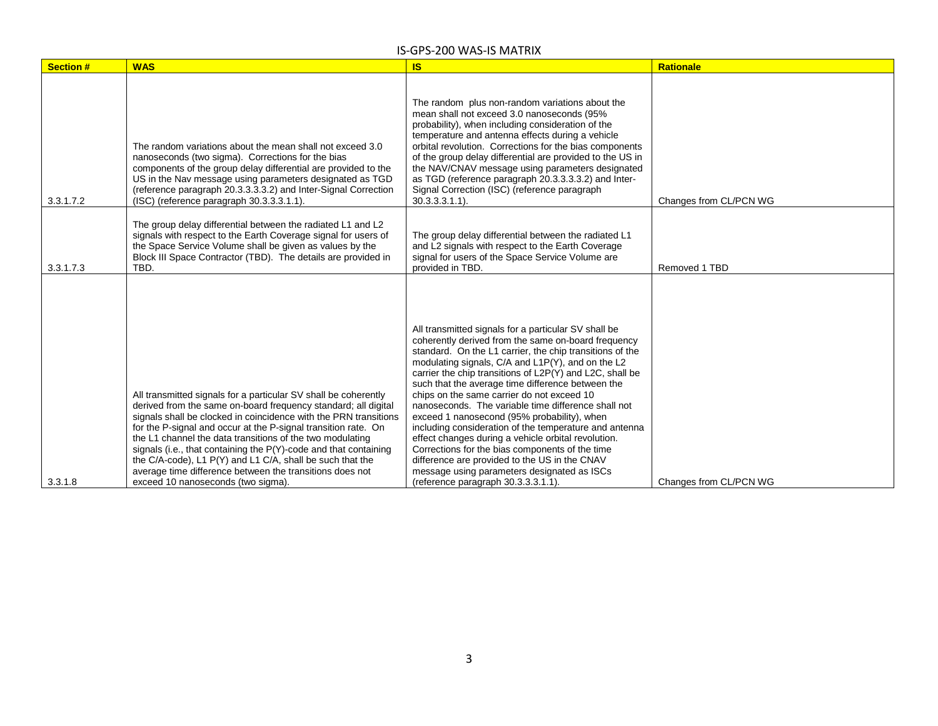| <b>Section #</b> | <b>WAS</b>                                                                                                                                                                                                                                                                                                                                                                                                                                                                                                                                                              | <b>IS</b>                                                                                                                                                                                                                                                                                                                                                                                                                                                                                                                                                                                                                                                                                                                                                                                                    | <b>Rationale</b>       |
|------------------|-------------------------------------------------------------------------------------------------------------------------------------------------------------------------------------------------------------------------------------------------------------------------------------------------------------------------------------------------------------------------------------------------------------------------------------------------------------------------------------------------------------------------------------------------------------------------|--------------------------------------------------------------------------------------------------------------------------------------------------------------------------------------------------------------------------------------------------------------------------------------------------------------------------------------------------------------------------------------------------------------------------------------------------------------------------------------------------------------------------------------------------------------------------------------------------------------------------------------------------------------------------------------------------------------------------------------------------------------------------------------------------------------|------------------------|
| 3.3.1.7.2        | The random variations about the mean shall not exceed 3.0<br>nanoseconds (two sigma). Corrections for the bias<br>components of the group delay differential are provided to the<br>US in the Nav message using parameters designated as TGD<br>(reference paragraph 20.3.3.3.3.2) and Inter-Signal Correction<br>(ISC) (reference paragraph 30.3.3.3.1.1).                                                                                                                                                                                                             | The random plus non-random variations about the<br>mean shall not exceed 3.0 nanoseconds (95%<br>probability), when including consideration of the<br>temperature and antenna effects during a vehicle<br>orbital revolution. Corrections for the bias components<br>of the group delay differential are provided to the US in<br>the NAV/CNAV message using parameters designated<br>as TGD (reference paragraph 20.3.3.3.3.2) and Inter-<br>Signal Correction (ISC) (reference paragraph<br>$30.3.3.3.1.1$ ).                                                                                                                                                                                                                                                                                              | Changes from CL/PCN WG |
| 3.3.1.7.3        | The group delay differential between the radiated L1 and L2<br>signals with respect to the Earth Coverage signal for users of<br>the Space Service Volume shall be given as values by the<br>Block III Space Contractor (TBD). The details are provided in<br>TBD.                                                                                                                                                                                                                                                                                                      | The group delay differential between the radiated L1<br>and L2 signals with respect to the Earth Coverage<br>signal for users of the Space Service Volume are<br>provided in TBD.                                                                                                                                                                                                                                                                                                                                                                                                                                                                                                                                                                                                                            | Removed 1 TBD          |
| 3.3.1.8          | All transmitted signals for a particular SV shall be coherently<br>derived from the same on-board frequency standard; all digital<br>signals shall be clocked in coincidence with the PRN transitions<br>for the P-signal and occur at the P-signal transition rate. On<br>the L1 channel the data transitions of the two modulating<br>signals (i.e., that containing the P(Y)-code and that containing<br>the C/A-code), L1 P(Y) and L1 C/A, shall be such that the<br>average time difference between the transitions does not<br>exceed 10 nanoseconds (two sigma). | All transmitted signals for a particular SV shall be<br>coherently derived from the same on-board frequency<br>standard. On the L1 carrier, the chip transitions of the<br>modulating signals, C/A and L1P(Y), and on the L2<br>carrier the chip transitions of L2P(Y) and L2C, shall be<br>such that the average time difference between the<br>chips on the same carrier do not exceed 10<br>nanoseconds. The variable time difference shall not<br>exceed 1 nanosecond (95% probability), when<br>including consideration of the temperature and antenna<br>effect changes during a vehicle orbital revolution.<br>Corrections for the bias components of the time<br>difference are provided to the US in the CNAV<br>message using parameters designated as ISCs<br>(reference paragraph 30.3.3.3.1.1). | Changes from CL/PCN WG |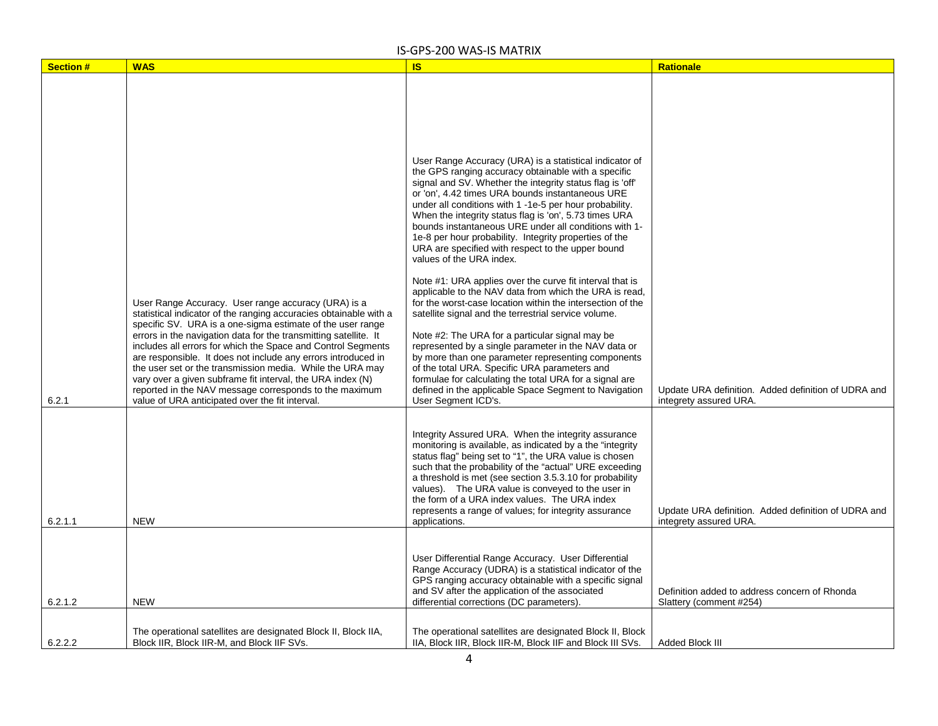| <b>Section #</b><br>6.2.1 | <b>WAS</b><br>User Range Accuracy. User range accuracy (URA) is a<br>statistical indicator of the ranging accuracies obtainable with a<br>specific SV. URA is a one-sigma estimate of the user range<br>errors in the navigation data for the transmitting satellite. It<br>includes all errors for which the Space and Control Segments<br>are responsible. It does not include any errors introduced in<br>the user set or the transmission media. While the URA may<br>vary over a given subframe fit interval, the URA index (N)<br>reported in the NAV message corresponds to the maximum<br>value of URA anticipated over the fit interval. | <b>IS</b><br>User Range Accuracy (URA) is a statistical indicator of<br>the GPS ranging accuracy obtainable with a specific<br>signal and SV. Whether the integrity status flag is 'off'<br>or 'on', 4.42 times URA bounds instantaneous URE<br>under all conditions with 1 -1e-5 per hour probability.<br>When the integrity status flag is 'on', 5.73 times URA<br>bounds instantaneous URE under all conditions with 1-<br>1e-8 per hour probability. Integrity properties of the<br>URA are specified with respect to the upper bound<br>values of the URA index.<br>Note #1: URA applies over the curve fit interval that is<br>applicable to the NAV data from which the URA is read,<br>for the worst-case location within the intersection of the<br>satellite signal and the terrestrial service volume.<br>Note #2: The URA for a particular signal may be<br>represented by a single parameter in the NAV data or<br>by more than one parameter representing components<br>of the total URA. Specific URA parameters and<br>formulae for calculating the total URA for a signal are<br>defined in the applicable Space Segment to Navigation<br>User Segment ICD's.<br>Integrity Assured URA. When the integrity assurance<br>monitoring is available, as indicated by a the "integrity"<br>status flag" being set to "1", the URA value is chosen<br>such that the probability of the "actual" URE exceeding<br>a threshold is met (see section 3.5.3.10 for probability | Rationale<br>Update URA definition. Added definition of UDRA and<br>integrety assured URA. |
|---------------------------|---------------------------------------------------------------------------------------------------------------------------------------------------------------------------------------------------------------------------------------------------------------------------------------------------------------------------------------------------------------------------------------------------------------------------------------------------------------------------------------------------------------------------------------------------------------------------------------------------------------------------------------------------|--------------------------------------------------------------------------------------------------------------------------------------------------------------------------------------------------------------------------------------------------------------------------------------------------------------------------------------------------------------------------------------------------------------------------------------------------------------------------------------------------------------------------------------------------------------------------------------------------------------------------------------------------------------------------------------------------------------------------------------------------------------------------------------------------------------------------------------------------------------------------------------------------------------------------------------------------------------------------------------------------------------------------------------------------------------------------------------------------------------------------------------------------------------------------------------------------------------------------------------------------------------------------------------------------------------------------------------------------------------------------------------------------------------------------------------------------------------------------------------|--------------------------------------------------------------------------------------------|
| 6.2.1.1                   | <b>NEW</b>                                                                                                                                                                                                                                                                                                                                                                                                                                                                                                                                                                                                                                        | values). The URA value is conveyed to the user in<br>the form of a URA index values. The URA index<br>represents a range of values; for integrity assurance<br>applications.                                                                                                                                                                                                                                                                                                                                                                                                                                                                                                                                                                                                                                                                                                                                                                                                                                                                                                                                                                                                                                                                                                                                                                                                                                                                                                         | Update URA definition. Added definition of UDRA and<br>integrety assured URA.              |
| 6.2.1.2                   | <b>NEW</b>                                                                                                                                                                                                                                                                                                                                                                                                                                                                                                                                                                                                                                        | User Differential Range Accuracy. User Differential<br>Range Accuracy (UDRA) is a statistical indicator of the<br>GPS ranging accuracy obtainable with a specific signal<br>and SV after the application of the associated<br>differential corrections (DC parameters).                                                                                                                                                                                                                                                                                                                                                                                                                                                                                                                                                                                                                                                                                                                                                                                                                                                                                                                                                                                                                                                                                                                                                                                                              | Definition added to address concern of Rhonda<br>Slattery (comment #254)                   |
| 6.2.2.2                   | The operational satellites are designated Block II, Block IIA,<br>Block IIR, Block IIR-M, and Block IIF SVs.                                                                                                                                                                                                                                                                                                                                                                                                                                                                                                                                      | The operational satellites are designated Block II, Block<br>IIA, Block IIR, Block IIR-M, Block IIF and Block III SVs.                                                                                                                                                                                                                                                                                                                                                                                                                                                                                                                                                                                                                                                                                                                                                                                                                                                                                                                                                                                                                                                                                                                                                                                                                                                                                                                                                               | Added Block III                                                                            |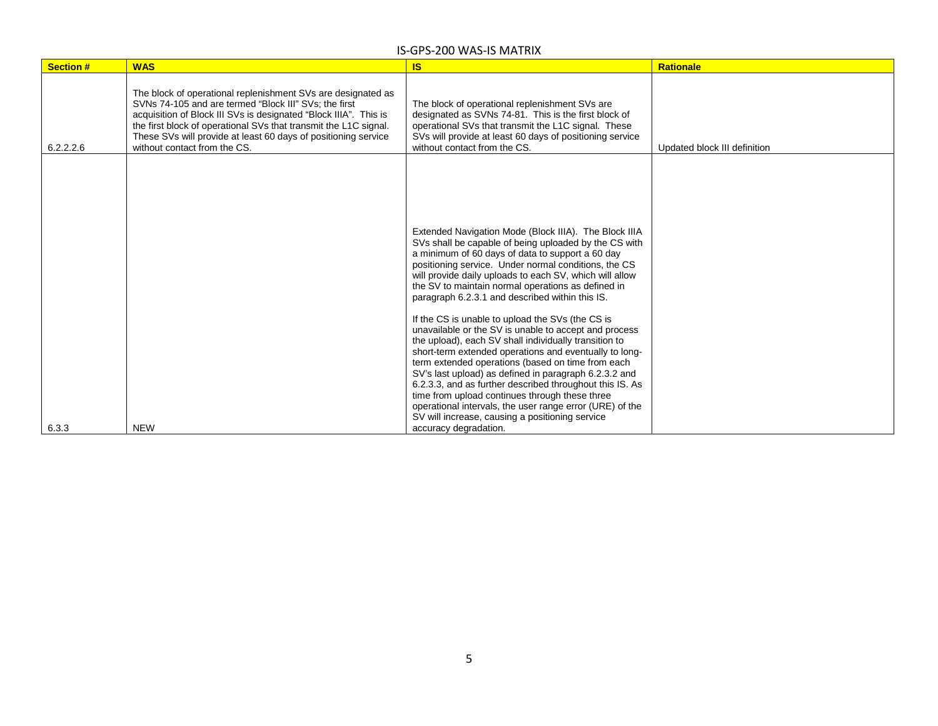| <b>Section#</b> | <b>WAS</b>                                                                                                                                                                                                                                                                                                                                                      | IS                                                                                                                                                                                                                                                                                                                                                                                                                                                                                                                                                                                                                                                                                                                                                                                                                                                                                                                                                                                                 | <b>Rationale</b>             |
|-----------------|-----------------------------------------------------------------------------------------------------------------------------------------------------------------------------------------------------------------------------------------------------------------------------------------------------------------------------------------------------------------|----------------------------------------------------------------------------------------------------------------------------------------------------------------------------------------------------------------------------------------------------------------------------------------------------------------------------------------------------------------------------------------------------------------------------------------------------------------------------------------------------------------------------------------------------------------------------------------------------------------------------------------------------------------------------------------------------------------------------------------------------------------------------------------------------------------------------------------------------------------------------------------------------------------------------------------------------------------------------------------------------|------------------------------|
| 6.2.2.2.6       | The block of operational replenishment SVs are designated as<br>SVNs 74-105 and are termed "Block III" SVs; the first<br>acquisition of Block III SVs is designated "Block IIIA". This is<br>the first block of operational SVs that transmit the L1C signal.<br>These SVs will provide at least 60 days of positioning service<br>without contact from the CS. | The block of operational replenishment SVs are<br>designated as SVNs 74-81. This is the first block of<br>operational SVs that transmit the L1C signal. These<br>SVs will provide at least 60 days of positioning service<br>without contact from the CS.                                                                                                                                                                                                                                                                                                                                                                                                                                                                                                                                                                                                                                                                                                                                          | Updated block III definition |
| 6.3.3           | <b>NEW</b>                                                                                                                                                                                                                                                                                                                                                      | Extended Navigation Mode (Block IIIA). The Block IIIA<br>SVs shall be capable of being uploaded by the CS with<br>a minimum of 60 days of data to support a 60 day<br>positioning service. Under normal conditions, the CS<br>will provide daily uploads to each SV, which will allow<br>the SV to maintain normal operations as defined in<br>paragraph 6.2.3.1 and described within this IS.<br>If the CS is unable to upload the SVs (the CS is<br>unavailable or the SV is unable to accept and process<br>the upload), each SV shall individually transition to<br>short-term extended operations and eventually to long-<br>term extended operations (based on time from each<br>SV's last upload) as defined in paragraph 6.2.3.2 and<br>6.2.3.3, and as further described throughout this IS. As<br>time from upload continues through these three<br>operational intervals, the user range error (URE) of the<br>SV will increase, causing a positioning service<br>accuracy degradation. |                              |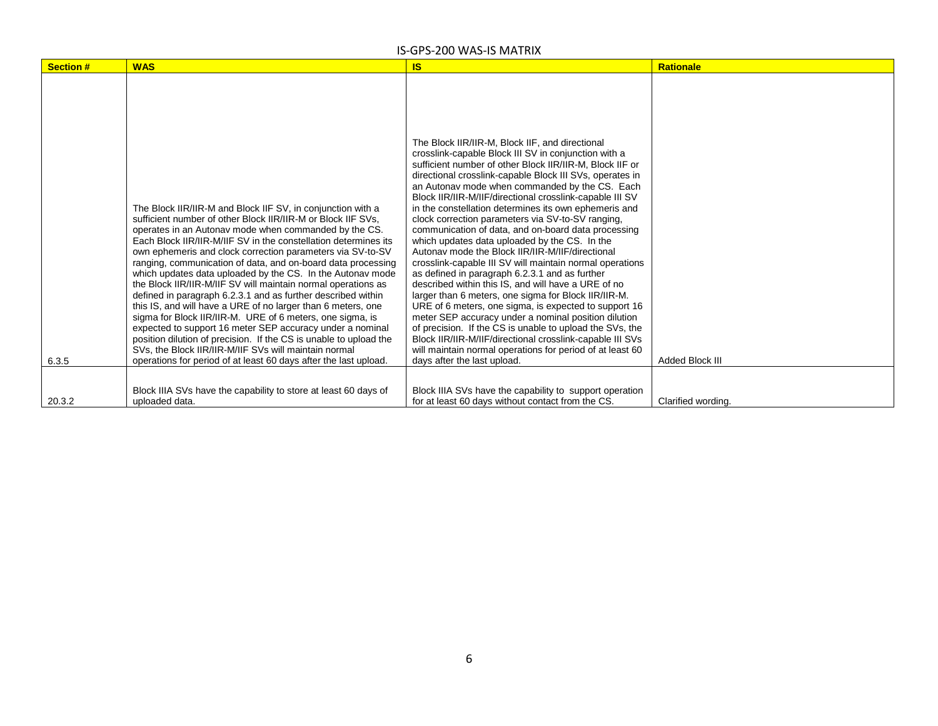| <b>Section #</b> | <b>WAS</b>                                                                                                                                                                                                                                                                                                                                                                                                                                                                                                                                                                                                                                                                                                                                                                                                                                                                                                                                                                       | <b>IS</b>                                                                                                                                                                                                                                                                                                                                                                                                                                                                                                                                                                                                                                                                                                                                                                                                                                                                                                                                                                                                                                                                                                                                                                                  | <b>Rationale</b>       |
|------------------|----------------------------------------------------------------------------------------------------------------------------------------------------------------------------------------------------------------------------------------------------------------------------------------------------------------------------------------------------------------------------------------------------------------------------------------------------------------------------------------------------------------------------------------------------------------------------------------------------------------------------------------------------------------------------------------------------------------------------------------------------------------------------------------------------------------------------------------------------------------------------------------------------------------------------------------------------------------------------------|--------------------------------------------------------------------------------------------------------------------------------------------------------------------------------------------------------------------------------------------------------------------------------------------------------------------------------------------------------------------------------------------------------------------------------------------------------------------------------------------------------------------------------------------------------------------------------------------------------------------------------------------------------------------------------------------------------------------------------------------------------------------------------------------------------------------------------------------------------------------------------------------------------------------------------------------------------------------------------------------------------------------------------------------------------------------------------------------------------------------------------------------------------------------------------------------|------------------------|
| 6.3.5            | The Block IIR/IIR-M and Block IIF SV, in conjunction with a<br>sufficient number of other Block IIR/IIR-M or Block IIF SVs.<br>operates in an Autonay mode when commanded by the CS.<br>Each Block IIR/IIR-M/IIF SV in the constellation determines its<br>own ephemeris and clock correction parameters via SV-to-SV<br>ranging, communication of data, and on-board data processing<br>which updates data uploaded by the CS. In the Autonav mode<br>the Block IIR/IIR-M/IIF SV will maintain normal operations as<br>defined in paragraph 6.2.3.1 and as further described within<br>this IS, and will have a URE of no larger than 6 meters, one<br>sigma for Block IIR/IIR-M. URE of 6 meters, one sigma, is<br>expected to support 16 meter SEP accuracy under a nominal<br>position dilution of precision. If the CS is unable to upload the<br>SVs. the Block IIR/IIR-M/IIF SVs will maintain normal<br>operations for period of at least 60 days after the last upload. | The Block IIR/IIR-M. Block IIF, and directional<br>crosslink-capable Block III SV in conjunction with a<br>sufficient number of other Block IIR/IIR-M, Block IIF or<br>directional crosslink-capable Block III SVs, operates in<br>an Autonav mode when commanded by the CS. Each<br>Block IIR/IIR-M/IIF/directional crosslink-capable III SV<br>in the constellation determines its own ephemeris and<br>clock correction parameters via SV-to-SV ranging,<br>communication of data, and on-board data processing<br>which updates data uploaded by the CS. In the<br>Autonay mode the Block IIR/IIR-M/IIF/directional<br>crosslink-capable III SV will maintain normal operations<br>as defined in paragraph 6.2.3.1 and as further<br>described within this IS, and will have a URE of no<br>larger than 6 meters, one sigma for Block IIR/IIR-M.<br>URE of 6 meters, one sigma, is expected to support 16<br>meter SEP accuracy under a nominal position dilution<br>of precision. If the CS is unable to upload the SVs, the<br>Block IIR/IIR-M/IIF/directional crosslink-capable III SVs<br>will maintain normal operations for period of at least 60<br>days after the last upload. | <b>Added Block III</b> |
| 20.3.2           | Block IIIA SVs have the capability to store at least 60 days of<br>uploaded data.                                                                                                                                                                                                                                                                                                                                                                                                                                                                                                                                                                                                                                                                                                                                                                                                                                                                                                | Block IIIA SVs have the capability to support operation<br>for at least 60 days without contact from the CS.                                                                                                                                                                                                                                                                                                                                                                                                                                                                                                                                                                                                                                                                                                                                                                                                                                                                                                                                                                                                                                                                               | Clarified wording.     |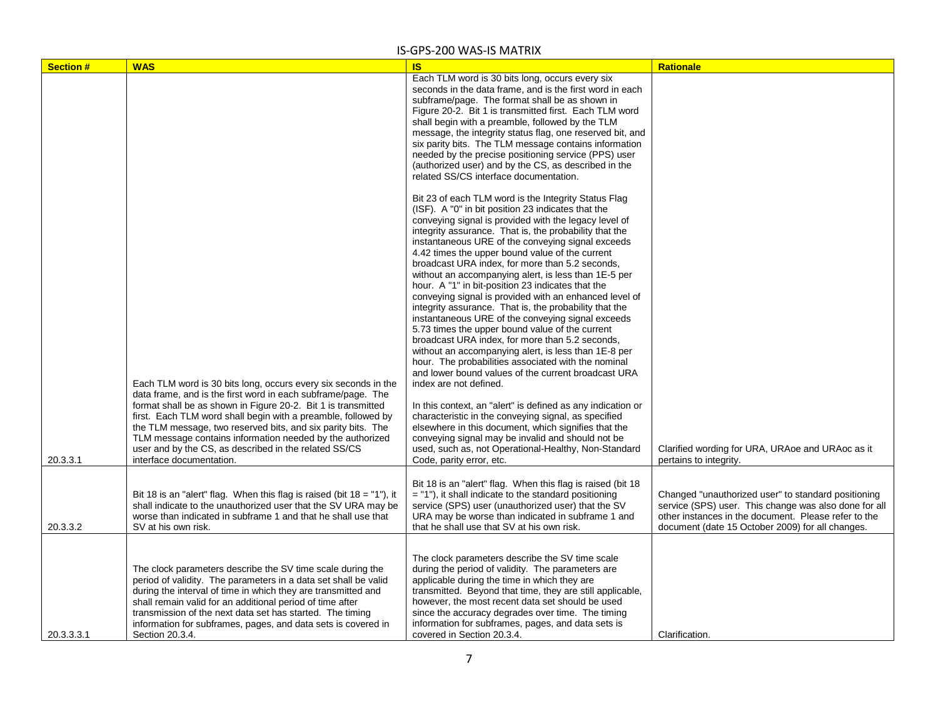| <b>Section#</b> | <b>WAS</b>                                                                | <b>IS</b>                                                   | <b>Rationale</b>                                      |
|-----------------|---------------------------------------------------------------------------|-------------------------------------------------------------|-------------------------------------------------------|
|                 |                                                                           | Each TLM word is 30 bits long, occurs every six             |                                                       |
|                 |                                                                           | seconds in the data frame, and is the first word in each    |                                                       |
|                 |                                                                           | subframe/page. The format shall be as shown in              |                                                       |
|                 |                                                                           | Figure 20-2. Bit 1 is transmitted first. Each TLM word      |                                                       |
|                 |                                                                           | shall begin with a preamble, followed by the TLM            |                                                       |
|                 |                                                                           | message, the integrity status flag, one reserved bit, and   |                                                       |
|                 |                                                                           | six parity bits. The TLM message contains information       |                                                       |
|                 |                                                                           | needed by the precise positioning service (PPS) user        |                                                       |
|                 |                                                                           | (authorized user) and by the CS, as described in the        |                                                       |
|                 |                                                                           | related SS/CS interface documentation.                      |                                                       |
|                 |                                                                           |                                                             |                                                       |
|                 |                                                                           | Bit 23 of each TLM word is the Integrity Status Flag        |                                                       |
|                 |                                                                           | (ISF). A "0" in bit position 23 indicates that the          |                                                       |
|                 |                                                                           |                                                             |                                                       |
|                 |                                                                           | conveying signal is provided with the legacy level of       |                                                       |
|                 |                                                                           | integrity assurance. That is, the probability that the      |                                                       |
|                 |                                                                           | instantaneous URE of the conveying signal exceeds           |                                                       |
|                 |                                                                           | 4.42 times the upper bound value of the current             |                                                       |
|                 |                                                                           | broadcast URA index, for more than 5.2 seconds,             |                                                       |
|                 |                                                                           | without an accompanying alert, is less than 1E-5 per        |                                                       |
|                 |                                                                           | hour. A "1" in bit-position 23 indicates that the           |                                                       |
|                 |                                                                           | conveying signal is provided with an enhanced level of      |                                                       |
|                 |                                                                           | integrity assurance. That is, the probability that the      |                                                       |
|                 |                                                                           | instantaneous URE of the conveying signal exceeds           |                                                       |
|                 |                                                                           | 5.73 times the upper bound value of the current             |                                                       |
|                 |                                                                           | broadcast URA index, for more than 5.2 seconds,             |                                                       |
|                 |                                                                           | without an accompanying alert, is less than 1E-8 per        |                                                       |
|                 |                                                                           | hour. The probabilities associated with the nominal         |                                                       |
|                 |                                                                           | and lower bound values of the current broadcast URA         |                                                       |
|                 | Each TLM word is 30 bits long, occurs every six seconds in the            | index are not defined.                                      |                                                       |
|                 | data frame, and is the first word in each subframe/page. The              |                                                             |                                                       |
|                 | format shall be as shown in Figure 20-2. Bit 1 is transmitted             | In this context, an "alert" is defined as any indication or |                                                       |
|                 | first. Each TLM word shall begin with a preamble, followed by             | characteristic in the conveying signal, as specified        |                                                       |
|                 | the TLM message, two reserved bits, and six parity bits. The              | elsewhere in this document, which signifies that the        |                                                       |
|                 | TLM message contains information needed by the authorized                 | conveying signal may be invalid and should not be           |                                                       |
|                 | user and by the CS, as described in the related SS/CS                     | used, such as, not Operational-Healthy, Non-Standard        | Clarified wording for URA, URAoe and URAoc as it      |
| 20.3.3.1        | interface documentation.                                                  | Code, parity error, etc.                                    | pertains to integrity.                                |
|                 |                                                                           |                                                             |                                                       |
|                 |                                                                           | Bit 18 is an "alert" flag. When this flag is raised (bit 18 |                                                       |
|                 | Bit 18 is an "alert" flag. When this flag is raised (bit $18 = "1"$ ), it | $=$ "1"), it shall indicate to the standard positioning     | Changed "unauthorized user" to standard positioning   |
|                 | shall indicate to the unauthorized user that the SV URA may be            | service (SPS) user (unauthorized user) that the SV          | service (SPS) user. This change was also done for all |
|                 |                                                                           |                                                             | other instances in the document. Please refer to the  |
|                 | worse than indicated in subframe 1 and that he shall use that             | URA may be worse than indicated in subframe 1 and           |                                                       |
| 20.3.3.2        | SV at his own risk.                                                       | that he shall use that SV at his own risk.                  | document (date 15 October 2009) for all changes.      |
|                 |                                                                           |                                                             |                                                       |
|                 |                                                                           | The clock parameters describe the SV time scale             |                                                       |
|                 | The clock parameters describe the SV time scale during the                | during the period of validity. The parameters are           |                                                       |
|                 | period of validity. The parameters in a data set shall be valid           | applicable during the time in which they are                |                                                       |
|                 | during the interval of time in which they are transmitted and             | transmitted. Beyond that time, they are still applicable,   |                                                       |
|                 | shall remain valid for an additional period of time after                 | however, the most recent data set should be used            |                                                       |
|                 | transmission of the next data set has started. The timing                 | since the accuracy degrades over time. The timing           |                                                       |
|                 |                                                                           |                                                             |                                                       |
|                 | information for subframes, pages, and data sets is covered in             | information for subframes, pages, and data sets is          |                                                       |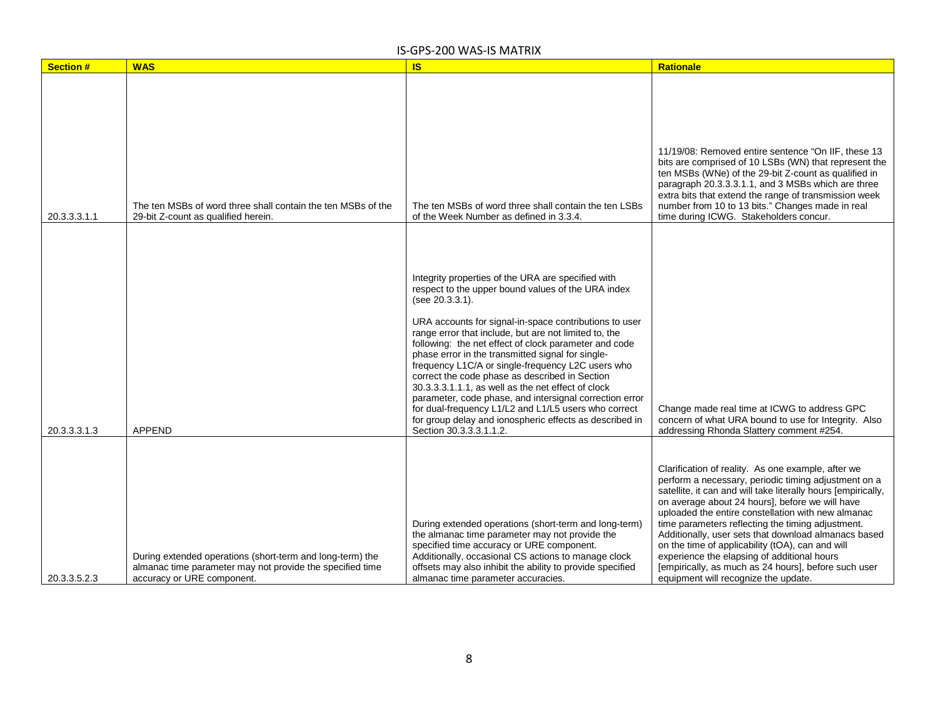| <b>Section#</b> | <b>WAS</b>                                                                                                                                           | <b>IS</b>                                                                                                                                                                                                                                                                                                                                                                                                                                                                                                                                                                                                                                                                                                                          | <b>Rationale</b>                                                                                                                                                                                                                                                                                                                                                                                                                                                                                                                                                                                     |
|-----------------|------------------------------------------------------------------------------------------------------------------------------------------------------|------------------------------------------------------------------------------------------------------------------------------------------------------------------------------------------------------------------------------------------------------------------------------------------------------------------------------------------------------------------------------------------------------------------------------------------------------------------------------------------------------------------------------------------------------------------------------------------------------------------------------------------------------------------------------------------------------------------------------------|------------------------------------------------------------------------------------------------------------------------------------------------------------------------------------------------------------------------------------------------------------------------------------------------------------------------------------------------------------------------------------------------------------------------------------------------------------------------------------------------------------------------------------------------------------------------------------------------------|
|                 |                                                                                                                                                      |                                                                                                                                                                                                                                                                                                                                                                                                                                                                                                                                                                                                                                                                                                                                    |                                                                                                                                                                                                                                                                                                                                                                                                                                                                                                                                                                                                      |
| 20.3.3.3.1.1    | The ten MSBs of word three shall contain the ten MSBs of the<br>29-bit Z-count as qualified herein.                                                  | The ten MSBs of word three shall contain the ten LSBs<br>of the Week Number as defined in 3.3.4.                                                                                                                                                                                                                                                                                                                                                                                                                                                                                                                                                                                                                                   | 11/19/08: Removed entire sentence "On IIF, these 13<br>bits are comprised of 10 LSBs (WN) that represent the<br>ten MSBs (WNe) of the 29-bit Z-count as qualified in<br>paragraph 20.3.3.3.1.1, and 3 MSBs which are three<br>extra bits that extend the range of transmission week<br>number from 10 to 13 bits." Changes made in real<br>time during ICWG. Stakeholders concur.                                                                                                                                                                                                                    |
| 20.3.3.3.1.3    | <b>APPEND</b>                                                                                                                                        | Integrity properties of the URA are specified with<br>respect to the upper bound values of the URA index<br>(see 20.3.3.1).<br>URA accounts for signal-in-space contributions to user<br>range error that include, but are not limited to, the<br>following: the net effect of clock parameter and code<br>phase error in the transmitted signal for single-<br>frequency L1C/A or single-frequency L2C users who<br>correct the code phase as described in Section<br>30.3.3.3.1.1.1, as well as the net effect of clock<br>parameter, code phase, and intersignal correction error<br>for dual-frequency L1/L2 and L1/L5 users who correct<br>for group delay and ionospheric effects as described in<br>Section 30.3.3.3.1.1.2. | Change made real time at ICWG to address GPC<br>concern of what URA bound to use for Integrity. Also<br>addressing Rhonda Slattery comment #254.                                                                                                                                                                                                                                                                                                                                                                                                                                                     |
| 20.3.3.5.2.3    | During extended operations (short-term and long-term) the<br>almanac time parameter may not provide the specified time<br>accuracy or URE component. | During extended operations (short-term and long-term)<br>the almanac time parameter may not provide the<br>specified time accuracy or URE component.<br>Additionally, occasional CS actions to manage clock<br>offsets may also inhibit the ability to provide specified<br>almanac time parameter accuracies.                                                                                                                                                                                                                                                                                                                                                                                                                     | Clarification of reality. As one example, after we<br>perform a necessary, periodic timing adjustment on a<br>satellite, it can and will take literally hours [empirically,<br>on average about 24 hours], before we will have<br>uploaded the entire constellation with new almanac<br>time parameters reflecting the timing adjustment.<br>Additionally, user sets that download almanacs based<br>on the time of applicability (tOA), can and will<br>experience the elapsing of additional hours<br>[empirically, as much as 24 hours], before such user<br>equipment will recognize the update. |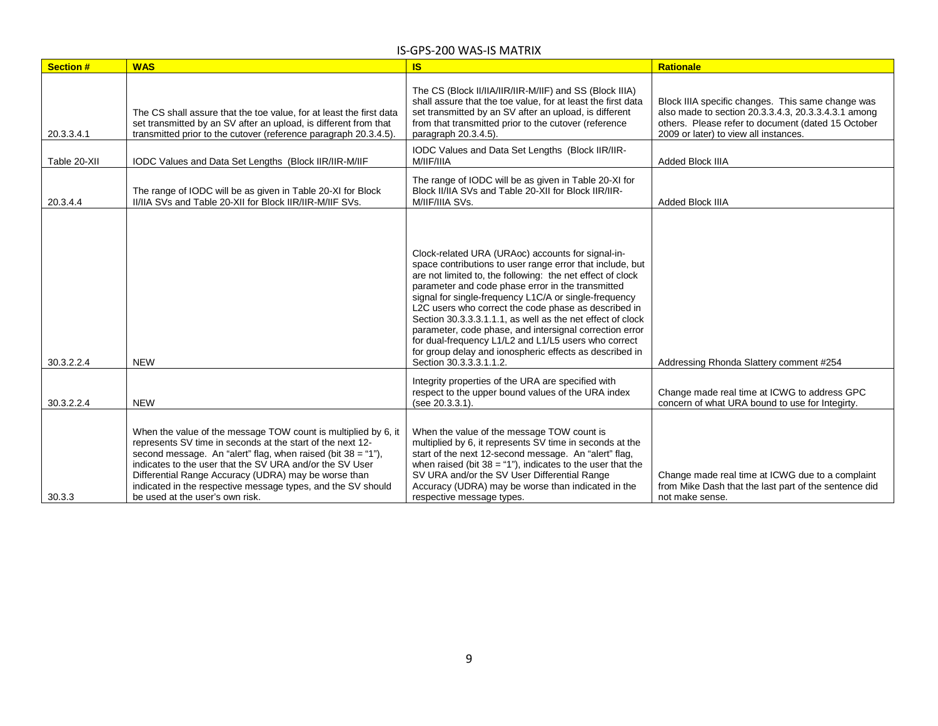| <b>Section#</b> | <b>WAS</b>                                                                                                                                                                                                                                                                                                                                                                                                            | <b>IS</b>                                                                                                                                                                                                                                                                                                                                                                                                                                                                                                                                                                                                                 | <b>Rationale</b>                                                                                                                                                                                        |
|-----------------|-----------------------------------------------------------------------------------------------------------------------------------------------------------------------------------------------------------------------------------------------------------------------------------------------------------------------------------------------------------------------------------------------------------------------|---------------------------------------------------------------------------------------------------------------------------------------------------------------------------------------------------------------------------------------------------------------------------------------------------------------------------------------------------------------------------------------------------------------------------------------------------------------------------------------------------------------------------------------------------------------------------------------------------------------------------|---------------------------------------------------------------------------------------------------------------------------------------------------------------------------------------------------------|
| 20.3.3.4.1      | The CS shall assure that the toe value, for at least the first data<br>set transmitted by an SV after an upload, is different from that<br>transmitted prior to the cutover (reference paragraph 20.3.4.5).                                                                                                                                                                                                           | The CS (Block II/IIA/IIR/IIR-M/IIF) and SS (Block IIIA)<br>shall assure that the toe value, for at least the first data<br>set transmitted by an SV after an upload, is different<br>from that transmitted prior to the cutover (reference<br>paragraph 20.3.4.5).                                                                                                                                                                                                                                                                                                                                                        | Block IIIA specific changes. This same change was<br>also made to section 20.3.3.4.3, 20.3.3.4.3.1 among<br>others. Please refer to document (dated 15 October<br>2009 or later) to view all instances. |
| Table 20-XII    | IODC Values and Data Set Lengths (Block IIR/IIR-M/IIF                                                                                                                                                                                                                                                                                                                                                                 | IODC Values and Data Set Lengths (Block IIR/IIR-<br>M/IIF/IIIA                                                                                                                                                                                                                                                                                                                                                                                                                                                                                                                                                            | <b>Added Block IIIA</b>                                                                                                                                                                                 |
| 20.3.4.4        | The range of IODC will be as given in Table 20-XI for Block<br>II/IIA SVs and Table 20-XII for Block IIR/IIR-M/IIF SVs.                                                                                                                                                                                                                                                                                               | The range of IODC will be as given in Table 20-XI for<br>Block II/IIA SVs and Table 20-XII for Block IIR/IIR-<br>M/IIF/IIIA SVs.                                                                                                                                                                                                                                                                                                                                                                                                                                                                                          | Added Block IIIA                                                                                                                                                                                        |
| 30.3.2.2.4      | <b>NEW</b>                                                                                                                                                                                                                                                                                                                                                                                                            | Clock-related URA (URAoc) accounts for signal-in-<br>space contributions to user range error that include, but<br>are not limited to, the following: the net effect of clock<br>parameter and code phase error in the transmitted<br>signal for single-frequency L1C/A or single-frequency<br>L2C users who correct the code phase as described in<br>Section 30.3.3.3.1.1.1, as well as the net effect of clock<br>parameter, code phase, and intersignal correction error<br>for dual-frequency L1/L2 and L1/L5 users who correct<br>for group delay and ionospheric effects as described in<br>Section 30.3.3.3.1.1.2. | Addressing Rhonda Slattery comment #254                                                                                                                                                                 |
| 30.3.2.2.4      | <b>NEW</b>                                                                                                                                                                                                                                                                                                                                                                                                            | Integrity properties of the URA are specified with<br>respect to the upper bound values of the URA index<br>(see 20.3.3.1).                                                                                                                                                                                                                                                                                                                                                                                                                                                                                               | Change made real time at ICWG to address GPC<br>concern of what URA bound to use for Integirty.                                                                                                         |
| 30.3.3          | When the value of the message TOW count is multiplied by 6, it<br>represents SV time in seconds at the start of the next 12-<br>second message. An "alert" flag, when raised (bit $38 = 1$ "),<br>indicates to the user that the SV URA and/or the SV User<br>Differential Range Accuracy (UDRA) may be worse than<br>indicated in the respective message types, and the SV should<br>be used at the user's own risk. | When the value of the message TOW count is<br>multiplied by 6, it represents SV time in seconds at the<br>start of the next 12-second message. An "alert" flag,<br>when raised (bit $38 = 1$ "), indicates to the user that the<br>SV URA and/or the SV User Differential Range<br>Accuracy (UDRA) may be worse than indicated in the<br>respective message types.                                                                                                                                                                                                                                                        | Change made real time at ICWG due to a complaint<br>from Mike Dash that the last part of the sentence did<br>not make sense.                                                                            |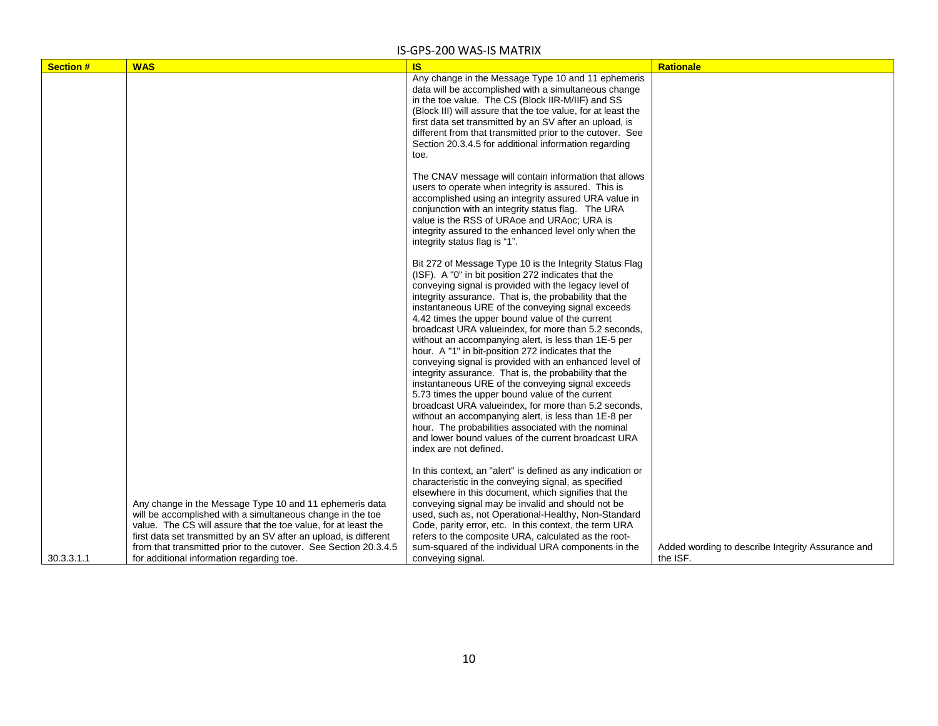| <b>Section#</b> | <b>WAS</b>                                                                                                                                                                                                                                                                                                                                                                    | <b>IS</b>                                                                                                                                                                                                                                                                                                                                                                                                                                                                                                                                                                                                                                                                                                                                                                                                                                                                                                                                                                                           | <b>Rationale</b>                                              |
|-----------------|-------------------------------------------------------------------------------------------------------------------------------------------------------------------------------------------------------------------------------------------------------------------------------------------------------------------------------------------------------------------------------|-----------------------------------------------------------------------------------------------------------------------------------------------------------------------------------------------------------------------------------------------------------------------------------------------------------------------------------------------------------------------------------------------------------------------------------------------------------------------------------------------------------------------------------------------------------------------------------------------------------------------------------------------------------------------------------------------------------------------------------------------------------------------------------------------------------------------------------------------------------------------------------------------------------------------------------------------------------------------------------------------------|---------------------------------------------------------------|
|                 |                                                                                                                                                                                                                                                                                                                                                                               | Any change in the Message Type 10 and 11 ephemeris<br>data will be accomplished with a simultaneous change<br>in the toe value. The CS (Block IIR-M/IIF) and SS<br>(Block III) will assure that the toe value, for at least the<br>first data set transmitted by an SV after an upload, is<br>different from that transmitted prior to the cutover. See<br>Section 20.3.4.5 for additional information regarding<br>toe.                                                                                                                                                                                                                                                                                                                                                                                                                                                                                                                                                                            |                                                               |
|                 |                                                                                                                                                                                                                                                                                                                                                                               | The CNAV message will contain information that allows<br>users to operate when integrity is assured. This is<br>accomplished using an integrity assured URA value in<br>conjunction with an integrity status flag. The URA<br>value is the RSS of URAoe and URAoc; URA is<br>integrity assured to the enhanced level only when the<br>integrity status flag is "1".                                                                                                                                                                                                                                                                                                                                                                                                                                                                                                                                                                                                                                 |                                                               |
|                 |                                                                                                                                                                                                                                                                                                                                                                               | Bit 272 of Message Type 10 is the Integrity Status Flag<br>(ISF). A "0" in bit position 272 indicates that the<br>conveying signal is provided with the legacy level of<br>integrity assurance. That is, the probability that the<br>instantaneous URE of the conveying signal exceeds<br>4.42 times the upper bound value of the current<br>broadcast URA valueindex, for more than 5.2 seconds,<br>without an accompanying alert, is less than 1E-5 per<br>hour. A "1" in bit-position 272 indicates that the<br>conveying signal is provided with an enhanced level of<br>integrity assurance. That is, the probability that the<br>instantaneous URE of the conveying signal exceeds<br>5.73 times the upper bound value of the current<br>broadcast URA valueindex, for more than 5.2 seconds,<br>without an accompanying alert, is less than 1E-8 per<br>hour. The probabilities associated with the nominal<br>and lower bound values of the current broadcast URA<br>index are not defined. |                                                               |
| 30.3.3.1.1      | Any change in the Message Type 10 and 11 ephemeris data<br>will be accomplished with a simultaneous change in the toe<br>value. The CS will assure that the toe value, for at least the<br>first data set transmitted by an SV after an upload, is different<br>from that transmitted prior to the cutover. See Section 20.3.4.5<br>for additional information regarding toe. | In this context, an "alert" is defined as any indication or<br>characteristic in the conveying signal, as specified<br>elsewhere in this document, which signifies that the<br>conveying signal may be invalid and should not be<br>used, such as, not Operational-Healthy, Non-Standard<br>Code, parity error, etc. In this context, the term URA<br>refers to the composite URA, calculated as the root-<br>sum-squared of the individual URA components in the<br>conveying signal.                                                                                                                                                                                                                                                                                                                                                                                                                                                                                                              | Added wording to describe Integrity Assurance and<br>the ISF. |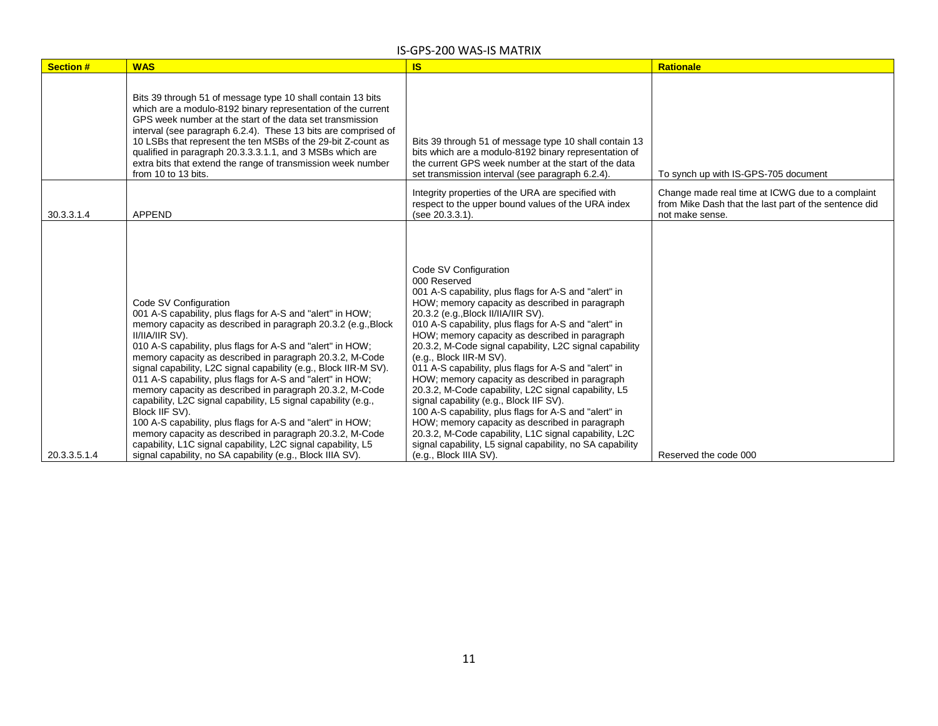| <b>Section#</b> | <b>WAS</b>                                                                                                                                                                                                                                                                                                                                                                                                                                                                                                                                                                                                                                                                                                                                                                                                                                  | <b>IS</b>                                                                                                                                                                                                                                                                                                                                                                                                                                                                                                                                                                                                                                                                                                                                                                                                                                                         | <b>Rationale</b>                                                                                                             |
|-----------------|---------------------------------------------------------------------------------------------------------------------------------------------------------------------------------------------------------------------------------------------------------------------------------------------------------------------------------------------------------------------------------------------------------------------------------------------------------------------------------------------------------------------------------------------------------------------------------------------------------------------------------------------------------------------------------------------------------------------------------------------------------------------------------------------------------------------------------------------|-------------------------------------------------------------------------------------------------------------------------------------------------------------------------------------------------------------------------------------------------------------------------------------------------------------------------------------------------------------------------------------------------------------------------------------------------------------------------------------------------------------------------------------------------------------------------------------------------------------------------------------------------------------------------------------------------------------------------------------------------------------------------------------------------------------------------------------------------------------------|------------------------------------------------------------------------------------------------------------------------------|
|                 | Bits 39 through 51 of message type 10 shall contain 13 bits<br>which are a modulo-8192 binary representation of the current<br>GPS week number at the start of the data set transmission<br>interval (see paragraph 6.2.4). These 13 bits are comprised of<br>10 LSBs that represent the ten MSBs of the 29-bit Z-count as<br>qualified in paragraph 20.3.3.3.1.1, and 3 MSBs which are<br>extra bits that extend the range of transmission week number<br>from 10 to 13 bits.                                                                                                                                                                                                                                                                                                                                                              | Bits 39 through 51 of message type 10 shall contain 13<br>bits which are a modulo-8192 binary representation of<br>the current GPS week number at the start of the data<br>set transmission interval (see paragraph 6.2.4).                                                                                                                                                                                                                                                                                                                                                                                                                                                                                                                                                                                                                                       | To synch up with IS-GPS-705 document                                                                                         |
| 30.3.3.1.4      | <b>APPEND</b>                                                                                                                                                                                                                                                                                                                                                                                                                                                                                                                                                                                                                                                                                                                                                                                                                               | Integrity properties of the URA are specified with<br>respect to the upper bound values of the URA index<br>(see 20.3.3.1).                                                                                                                                                                                                                                                                                                                                                                                                                                                                                                                                                                                                                                                                                                                                       | Change made real time at ICWG due to a complaint<br>from Mike Dash that the last part of the sentence did<br>not make sense. |
| 20.3.3.5.1.4    | Code SV Configuration<br>001 A-S capability, plus flags for A-S and "alert" in HOW;<br>memory capacity as described in paragraph 20.3.2 (e.g., Block<br>II/IIA/IIR SV).<br>010 A-S capability, plus flags for A-S and "alert" in HOW;<br>memory capacity as described in paragraph 20.3.2, M-Code<br>signal capability, L2C signal capability (e.g., Block IIR-M SV).<br>011 A-S capability, plus flags for A-S and "alert" in HOW;<br>memory capacity as described in paragraph 20.3.2, M-Code<br>capability, L2C signal capability, L5 signal capability (e.g.,<br>Block IIF SV).<br>100 A-S capability, plus flags for A-S and "alert" in HOW;<br>memory capacity as described in paragraph 20.3.2, M-Code<br>capability, L1C signal capability, L2C signal capability, L5<br>signal capability, no SA capability (e.g., Block IIIA SV). | Code SV Configuration<br>000 Reserved<br>001 A-S capability, plus flags for A-S and "alert" in<br>HOW; memory capacity as described in paragraph<br>20.3.2 (e.g., Block II/IIA/IIR SV).<br>010 A-S capability, plus flags for A-S and "alert" in<br>HOW; memory capacity as described in paragraph<br>20.3.2, M-Code signal capability, L2C signal capability<br>(e.g., Block IIR-M SV).<br>011 A-S capability, plus flags for A-S and "alert" in<br>HOW; memory capacity as described in paragraph<br>20.3.2, M-Code capability, L2C signal capability, L5<br>signal capability (e.g., Block IIF SV).<br>100 A-S capability, plus flags for A-S and "alert" in<br>HOW; memory capacity as described in paragraph<br>20.3.2, M-Code capability, L1C signal capability, L2C<br>signal capability, L5 signal capability, no SA capability<br>(e.g., Block IIIA SV). | Reserved the code 000                                                                                                        |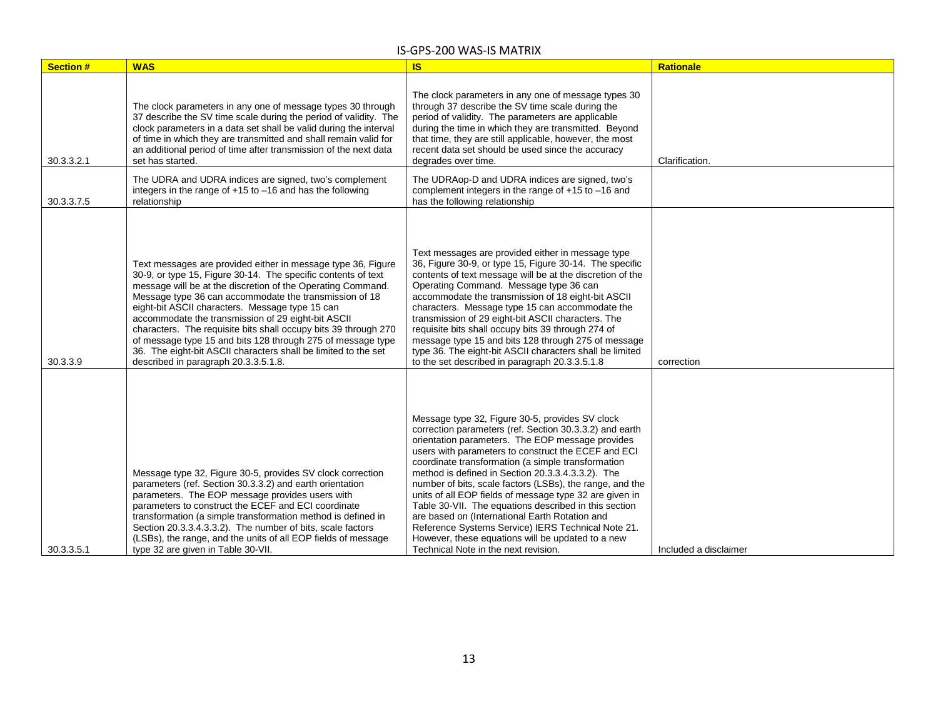| <b>Section#</b> | <b>WAS</b>                                                                                                                                                                                                                                                                                                                                                                                                                                                                                                                                                                                                  | <b>IS</b>                                                                                                                                                                                                                                                                                                                                                                                                                                                                                                                                                                                                                                                                                                             | <b>Rationale</b>      |
|-----------------|-------------------------------------------------------------------------------------------------------------------------------------------------------------------------------------------------------------------------------------------------------------------------------------------------------------------------------------------------------------------------------------------------------------------------------------------------------------------------------------------------------------------------------------------------------------------------------------------------------------|-----------------------------------------------------------------------------------------------------------------------------------------------------------------------------------------------------------------------------------------------------------------------------------------------------------------------------------------------------------------------------------------------------------------------------------------------------------------------------------------------------------------------------------------------------------------------------------------------------------------------------------------------------------------------------------------------------------------------|-----------------------|
| 30.3.3.2.1      | The clock parameters in any one of message types 30 through<br>37 describe the SV time scale during the period of validity. The<br>clock parameters in a data set shall be valid during the interval<br>of time in which they are transmitted and shall remain valid for<br>an additional period of time after transmission of the next data<br>set has started.                                                                                                                                                                                                                                            | The clock parameters in any one of message types 30<br>through 37 describe the SV time scale during the<br>period of validity. The parameters are applicable<br>during the time in which they are transmitted. Beyond<br>that time, they are still applicable, however, the most<br>recent data set should be used since the accuracy<br>degrades over time.                                                                                                                                                                                                                                                                                                                                                          | Clarification.        |
| 30.3.3.7.5      | The UDRA and UDRA indices are signed, two's complement<br>integers in the range of $+15$ to $-16$ and has the following<br>relationship                                                                                                                                                                                                                                                                                                                                                                                                                                                                     | The UDRAop-D and UDRA indices are signed, two's<br>complement integers in the range of +15 to -16 and<br>has the following relationship                                                                                                                                                                                                                                                                                                                                                                                                                                                                                                                                                                               |                       |
| 30.3.3.9        | Text messages are provided either in message type 36, Figure<br>30-9, or type 15, Figure 30-14. The specific contents of text<br>message will be at the discretion of the Operating Command.<br>Message type 36 can accommodate the transmission of 18<br>eight-bit ASCII characters. Message type 15 can<br>accommodate the transmission of 29 eight-bit ASCII<br>characters. The requisite bits shall occupy bits 39 through 270<br>of message type 15 and bits 128 through 275 of message type<br>36. The eight-bit ASCII characters shall be limited to the set<br>described in paragraph 20.3.3.5.1.8. | Text messages are provided either in message type<br>36, Figure 30-9, or type 15, Figure 30-14. The specific<br>contents of text message will be at the discretion of the<br>Operating Command. Message type 36 can<br>accommodate the transmission of 18 eight-bit ASCII<br>characters. Message type 15 can accommodate the<br>transmission of 29 eight-bit ASCII characters. The<br>requisite bits shall occupy bits 39 through 274 of<br>message type 15 and bits 128 through 275 of message<br>type 36. The eight-bit ASCII characters shall be limited<br>to the set described in paragraph 20.3.3.5.1.8                                                                                                         | correction            |
| 30.3.3.5.1      | Message type 32, Figure 30-5, provides SV clock correction<br>parameters (ref. Section 30.3.3.2) and earth orientation<br>parameters. The EOP message provides users with<br>parameters to construct the ECEF and ECI coordinate<br>transformation (a simple transformation method is defined in<br>Section 20.3.3.4.3.3.2). The number of bits, scale factors<br>(LSBs), the range, and the units of all EOP fields of message<br>type 32 are given in Table 30-VII.                                                                                                                                       | Message type 32, Figure 30-5, provides SV clock<br>correction parameters (ref. Section 30.3.3.2) and earth<br>orientation parameters. The EOP message provides<br>users with parameters to construct the ECEF and ECI<br>coordinate transformation (a simple transformation<br>method is defined in Section 20.3.3.4.3.3.2). The<br>number of bits, scale factors (LSBs), the range, and the<br>units of all EOP fields of message type 32 are given in<br>Table 30-VII. The equations described in this section<br>are based on (International Earth Rotation and<br>Reference Systems Service) IERS Technical Note 21.<br>However, these equations will be updated to a new<br>Technical Note in the next revision. | Included a disclaimer |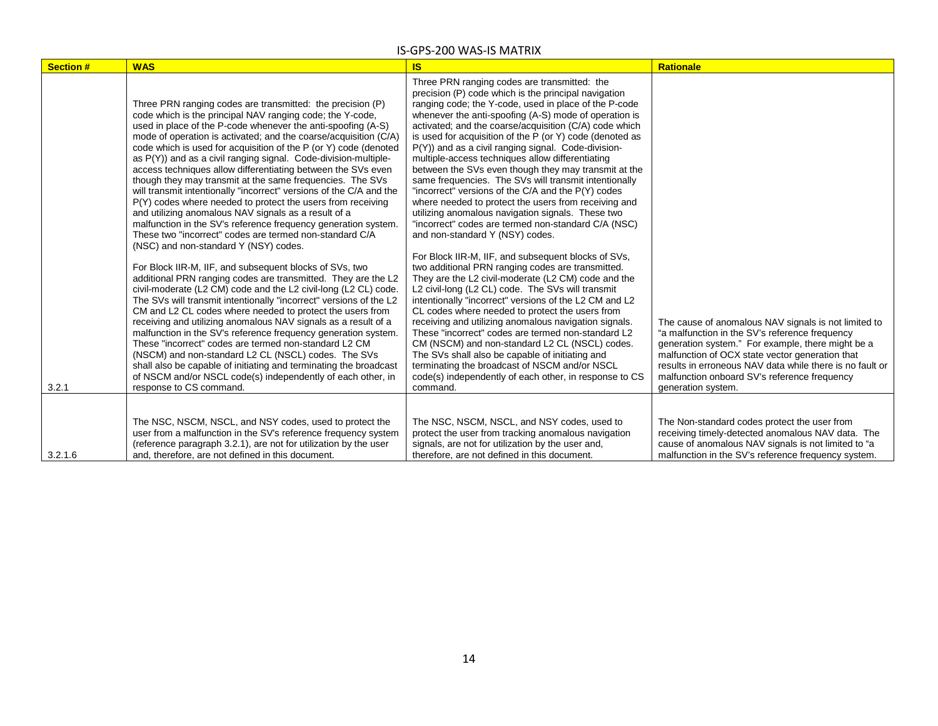| <b>Section #</b> | <b>WAS</b>                                                                                                                                                                                                                                                                                                                                                                                                                                                                                                                                                                                                                                                                                                                                                                                                                                                                                                                                                                                                                                                                                                                                                                                                                                                                                                                                                                                                                                                                                                                                                                                                                                               | <b>IS</b>                                                                                                                                                                                                                                                                                                                                                                                                                                                                                                                                                                                                                                                                                                                                                                                                                                                                                                                                                                                                                                                                                                                                                                                                                                                                                                                                                                                                                                                                                                             | <b>Rationale</b>                                                                                                                                                                                                                                                                                                                                 |
|------------------|----------------------------------------------------------------------------------------------------------------------------------------------------------------------------------------------------------------------------------------------------------------------------------------------------------------------------------------------------------------------------------------------------------------------------------------------------------------------------------------------------------------------------------------------------------------------------------------------------------------------------------------------------------------------------------------------------------------------------------------------------------------------------------------------------------------------------------------------------------------------------------------------------------------------------------------------------------------------------------------------------------------------------------------------------------------------------------------------------------------------------------------------------------------------------------------------------------------------------------------------------------------------------------------------------------------------------------------------------------------------------------------------------------------------------------------------------------------------------------------------------------------------------------------------------------------------------------------------------------------------------------------------------------|-----------------------------------------------------------------------------------------------------------------------------------------------------------------------------------------------------------------------------------------------------------------------------------------------------------------------------------------------------------------------------------------------------------------------------------------------------------------------------------------------------------------------------------------------------------------------------------------------------------------------------------------------------------------------------------------------------------------------------------------------------------------------------------------------------------------------------------------------------------------------------------------------------------------------------------------------------------------------------------------------------------------------------------------------------------------------------------------------------------------------------------------------------------------------------------------------------------------------------------------------------------------------------------------------------------------------------------------------------------------------------------------------------------------------------------------------------------------------------------------------------------------------|--------------------------------------------------------------------------------------------------------------------------------------------------------------------------------------------------------------------------------------------------------------------------------------------------------------------------------------------------|
| 3.2.1            | Three PRN ranging codes are transmitted: the precision (P)<br>code which is the principal NAV ranging code; the Y-code,<br>used in place of the P-code whenever the anti-spoofing (A-S)<br>mode of operation is activated; and the coarse/acquisition (C/A)<br>code which is used for acquisition of the P (or Y) code (denoted<br>as P(Y)) and as a civil ranging signal. Code-division-multiple-<br>access techniques allow differentiating between the SVs even<br>though they may transmit at the same frequencies. The SVs<br>will transmit intentionally "incorrect" versions of the C/A and the<br>P(Y) codes where needed to protect the users from receiving<br>and utilizing anomalous NAV signals as a result of a<br>malfunction in the SV's reference frequency generation system.<br>These two "incorrect" codes are termed non-standard C/A<br>(NSC) and non-standard Y (NSY) codes.<br>For Block IIR-M, IIF, and subsequent blocks of SVs, two<br>additional PRN ranging codes are transmitted. They are the L2<br>civil-moderate (L2 CM) code and the L2 civil-long (L2 CL) code.<br>The SVs will transmit intentionally "incorrect" versions of the L2<br>CM and L2 CL codes where needed to protect the users from<br>receiving and utilizing anomalous NAV signals as a result of a<br>malfunction in the SV's reference frequency generation system.<br>These "incorrect" codes are termed non-standard L2 CM<br>(NSCM) and non-standard L2 CL (NSCL) codes. The SVs<br>shall also be capable of initiating and terminating the broadcast<br>of NSCM and/or NSCL code(s) independently of each other, in<br>response to CS command. | Three PRN ranging codes are transmitted: the<br>precision (P) code which is the principal navigation<br>ranging code; the Y-code, used in place of the P-code<br>whenever the anti-spoofing (A-S) mode of operation is<br>activated; and the coarse/acquisition (C/A) code which<br>is used for acquisition of the P (or Y) code (denoted as<br>P(Y)) and as a civil ranging signal. Code-division-<br>multiple-access techniques allow differentiating<br>between the SVs even though they may transmit at the<br>same frequencies. The SVs will transmit intentionally<br>"incorrect" versions of the C/A and the P(Y) codes<br>where needed to protect the users from receiving and<br>utilizing anomalous navigation signals. These two<br>"incorrect" codes are termed non-standard C/A (NSC)<br>and non-standard Y (NSY) codes.<br>For Block IIR-M, IIF, and subsequent blocks of SVs,<br>two additional PRN ranging codes are transmitted.<br>They are the L2 civil-moderate (L2 CM) code and the<br>L2 civil-long (L2 CL) code. The SVs will transmit<br>intentionally "incorrect" versions of the L2 CM and L2<br>CL codes where needed to protect the users from<br>receiving and utilizing anomalous navigation signals.<br>These "incorrect" codes are termed non-standard L2<br>CM (NSCM) and non-standard L2 CL (NSCL) codes.<br>The SVs shall also be capable of initiating and<br>terminating the broadcast of NSCM and/or NSCL<br>code(s) independently of each other, in response to CS<br>command. | The cause of anomalous NAV signals is not limited to<br>"a malfunction in the SV's reference frequency<br>generation system." For example, there might be a<br>malfunction of OCX state vector generation that<br>results in erroneous NAV data while there is no fault or<br>malfunction onboard SV's reference frequency<br>generation system. |
| 3.2.1.6          | The NSC, NSCM, NSCL, and NSY codes, used to protect the<br>user from a malfunction in the SV's reference frequency system<br>(reference paragraph 3.2.1), are not for utilization by the user<br>and, therefore, are not defined in this document.                                                                                                                                                                                                                                                                                                                                                                                                                                                                                                                                                                                                                                                                                                                                                                                                                                                                                                                                                                                                                                                                                                                                                                                                                                                                                                                                                                                                       | The NSC, NSCM, NSCL, and NSY codes, used to<br>protect the user from tracking anomalous navigation<br>signals, are not for utilization by the user and,<br>therefore, are not defined in this document.                                                                                                                                                                                                                                                                                                                                                                                                                                                                                                                                                                                                                                                                                                                                                                                                                                                                                                                                                                                                                                                                                                                                                                                                                                                                                                               | The Non-standard codes protect the user from<br>receiving timely-detected anomalous NAV data. The<br>cause of anomalous NAV signals is not limited to "a<br>malfunction in the SV's reference frequency system.                                                                                                                                  |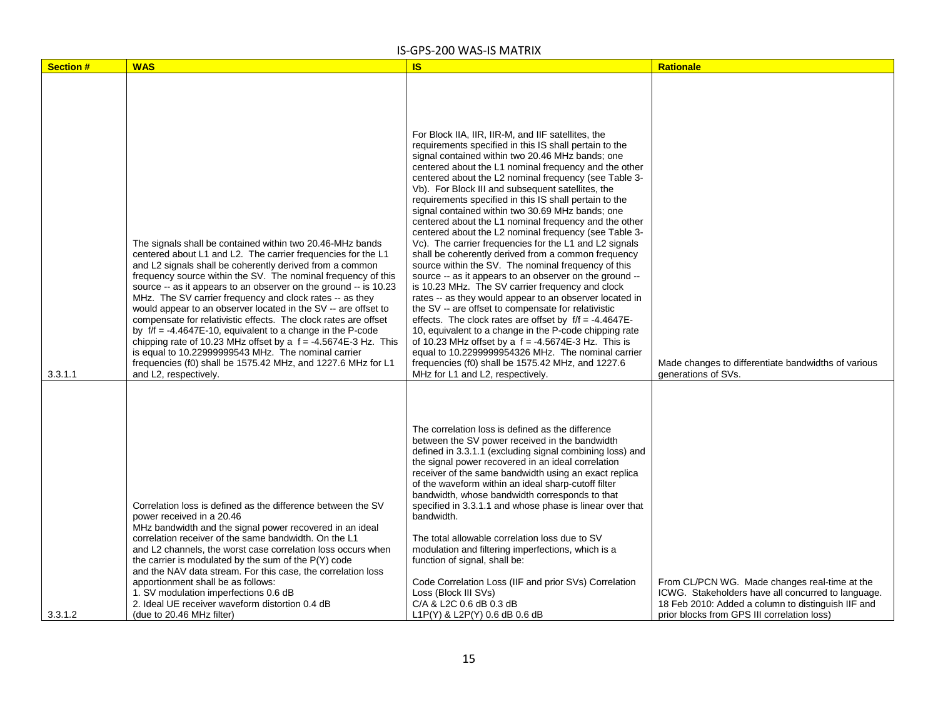| <b>Section #</b> | <b>WAS</b>                                                                                                                                                                                                                                                                                                                                                                                                                                                                                                                                                                                                                                                                                                                                                                                                          | <b>IS</b>                                                                                                                                                                                                                                                                                                                                                                                                                                                                                                                                                                                                                                                                                                                                                                                                                                                                                                                                                                                                                                                                                                                                                                                                                                                                                                        | <b>Rationale</b>                                                                                                                                                                                         |
|------------------|---------------------------------------------------------------------------------------------------------------------------------------------------------------------------------------------------------------------------------------------------------------------------------------------------------------------------------------------------------------------------------------------------------------------------------------------------------------------------------------------------------------------------------------------------------------------------------------------------------------------------------------------------------------------------------------------------------------------------------------------------------------------------------------------------------------------|------------------------------------------------------------------------------------------------------------------------------------------------------------------------------------------------------------------------------------------------------------------------------------------------------------------------------------------------------------------------------------------------------------------------------------------------------------------------------------------------------------------------------------------------------------------------------------------------------------------------------------------------------------------------------------------------------------------------------------------------------------------------------------------------------------------------------------------------------------------------------------------------------------------------------------------------------------------------------------------------------------------------------------------------------------------------------------------------------------------------------------------------------------------------------------------------------------------------------------------------------------------------------------------------------------------|----------------------------------------------------------------------------------------------------------------------------------------------------------------------------------------------------------|
| 3.3.1.1          | The signals shall be contained within two 20.46-MHz bands<br>centered about L1 and L2. The carrier frequencies for the L1<br>and L2 signals shall be coherently derived from a common<br>frequency source within the SV. The nominal frequency of this<br>source -- as it appears to an observer on the ground -- is 10.23<br>MHz. The SV carrier frequency and clock rates -- as they<br>would appear to an observer located in the SV -- are offset to<br>compensate for relativistic effects. The clock rates are offset<br>by $f/f = -4.4647E - 10$ , equivalent to a change in the P-code<br>chipping rate of 10.23 MHz offset by a $f = -4.5674E-3 Hz$ . This<br>is equal to 10.22999999543 MHz. The nominal carrier<br>frequencies (f0) shall be 1575.42 MHz, and 1227.6 MHz for L1<br>and L2, respectively. | For Block IIA, IIR, IIR-M, and IIF satellites, the<br>requirements specified in this IS shall pertain to the<br>signal contained within two 20.46 MHz bands; one<br>centered about the L1 nominal frequency and the other<br>centered about the L2 nominal frequency (see Table 3-<br>Vb). For Block III and subsequent satellites, the<br>requirements specified in this IS shall pertain to the<br>signal contained within two 30.69 MHz bands; one<br>centered about the L1 nominal frequency and the other<br>centered about the L2 nominal frequency (see Table 3-<br>Vc). The carrier frequencies for the L1 and L2 signals<br>shall be coherently derived from a common frequency<br>source within the SV. The nominal frequency of this<br>source -- as it appears to an observer on the ground --<br>is 10.23 MHz. The SV carrier frequency and clock<br>rates -- as they would appear to an observer located in<br>the SV -- are offset to compensate for relativistic<br>effects. The clock rates are offset by $f/f = -4.4647E$ -<br>10, equivalent to a change in the P-code chipping rate<br>of 10.23 MHz offset by a $f = -4.5674E-3 Hz$ . This is<br>equal to 10.2299999954326 MHz. The nominal carrier<br>frequencies (f0) shall be 1575.42 MHz, and 1227.6<br>MHz for L1 and L2, respectively. | Made changes to differentiate bandwidths of various<br>generations of SVs.                                                                                                                               |
| 3.3.1.2          | Correlation loss is defined as the difference between the SV<br>power received in a 20.46<br>MHz bandwidth and the signal power recovered in an ideal<br>correlation receiver of the same bandwidth. On the L1<br>and L2 channels, the worst case correlation loss occurs when<br>the carrier is modulated by the sum of the P(Y) code<br>and the NAV data stream. For this case, the correlation loss<br>apportionment shall be as follows:<br>1. SV modulation imperfections 0.6 dB<br>2. Ideal UE receiver waveform distortion 0.4 dB<br>(due to 20.46 MHz filter)                                                                                                                                                                                                                                               | The correlation loss is defined as the difference<br>between the SV power received in the bandwidth<br>defined in 3.3.1.1 (excluding signal combining loss) and<br>the signal power recovered in an ideal correlation<br>receiver of the same bandwidth using an exact replica<br>of the waveform within an ideal sharp-cutoff filter<br>bandwidth, whose bandwidth corresponds to that<br>specified in 3.3.1.1 and whose phase is linear over that<br>bandwidth.<br>The total allowable correlation loss due to SV<br>modulation and filtering imperfections, which is a<br>function of signal, shall be:<br>Code Correlation Loss (IIF and prior SVs) Correlation<br>Loss (Block III SVs)<br>C/A & L2C 0.6 dB 0.3 dB<br>L1P(Y) & L2P(Y) 0.6 dB 0.6 dB                                                                                                                                                                                                                                                                                                                                                                                                                                                                                                                                                          | From CL/PCN WG. Made changes real-time at the<br>ICWG. Stakeholders have all concurred to language.<br>18 Feb 2010: Added a column to distinguish IIF and<br>prior blocks from GPS III correlation loss) |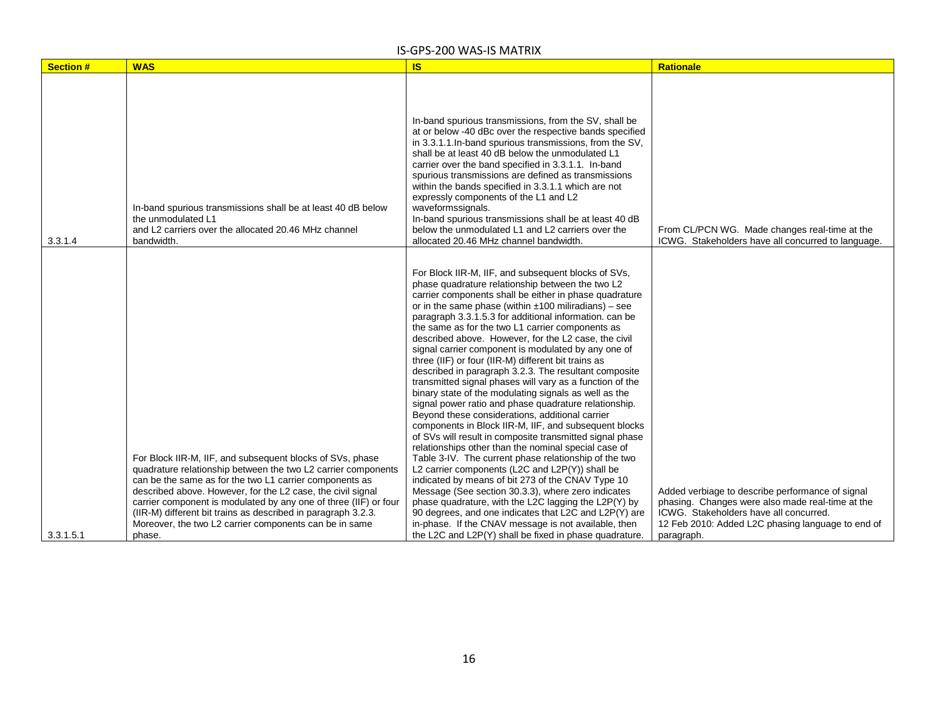| <b>Section #</b> | <b>WAS</b>                                                                                                                                                                                                                                                                                                                                                                                                                                                    | <b>IS</b>                                                                                                                                                                                                                                                                                                                                                                                                                                                                                                                                                                                                                                                                                                                                                                                                                                                                                                                         | <b>Rationale</b>                                                                                                                                                                                                  |
|------------------|---------------------------------------------------------------------------------------------------------------------------------------------------------------------------------------------------------------------------------------------------------------------------------------------------------------------------------------------------------------------------------------------------------------------------------------------------------------|-----------------------------------------------------------------------------------------------------------------------------------------------------------------------------------------------------------------------------------------------------------------------------------------------------------------------------------------------------------------------------------------------------------------------------------------------------------------------------------------------------------------------------------------------------------------------------------------------------------------------------------------------------------------------------------------------------------------------------------------------------------------------------------------------------------------------------------------------------------------------------------------------------------------------------------|-------------------------------------------------------------------------------------------------------------------------------------------------------------------------------------------------------------------|
|                  |                                                                                                                                                                                                                                                                                                                                                                                                                                                               |                                                                                                                                                                                                                                                                                                                                                                                                                                                                                                                                                                                                                                                                                                                                                                                                                                                                                                                                   |                                                                                                                                                                                                                   |
| 3.3.1.4          | In-band spurious transmissions shall be at least 40 dB below<br>the unmodulated L1<br>and L2 carriers over the allocated 20.46 MHz channel<br>bandwidth.                                                                                                                                                                                                                                                                                                      | In-band spurious transmissions, from the SV, shall be<br>at or below -40 dBc over the respective bands specified<br>in 3.3.1.1. In-band spurious transmissions, from the SV,<br>shall be at least 40 dB below the unmodulated L1<br>carrier over the band specified in 3.3.1.1. In-band<br>spurious transmissions are defined as transmissions<br>within the bands specified in 3.3.1.1 which are not<br>expressly components of the L1 and L2<br>waveformssignals.<br>In-band spurious transmissions shall be at least 40 dB<br>below the unmodulated L1 and L2 carriers over the<br>allocated 20.46 MHz channel bandwidth.                                                                                                                                                                                                                                                                                                      | From CL/PCN WG. Made changes real-time at the<br>ICWG. Stakeholders have all concurred to language.                                                                                                               |
|                  |                                                                                                                                                                                                                                                                                                                                                                                                                                                               | For Block IIR-M, IIF, and subsequent blocks of SVs,<br>phase quadrature relationship between the two L2<br>carrier components shall be either in phase quadrature<br>or in the same phase (within $\pm 100$ miliradians) – see<br>paragraph 3.3.1.5.3 for additional information. can be<br>the same as for the two L1 carrier components as<br>described above. However, for the L2 case, the civil<br>signal carrier component is modulated by any one of<br>three (IIF) or four (IIR-M) different bit trains as<br>described in paragraph 3.2.3. The resultant composite<br>transmitted signal phases will vary as a function of the<br>binary state of the modulating signals as well as the<br>signal power ratio and phase quadrature relationship.<br>Beyond these considerations, additional carrier<br>components in Block IIR-M, IIF, and subsequent blocks<br>of SVs will result in composite transmitted signal phase |                                                                                                                                                                                                                   |
| 3.3.1.5.1        | For Block IIR-M, IIF, and subsequent blocks of SVs, phase<br>quadrature relationship between the two L2 carrier components<br>can be the same as for the two L1 carrier components as<br>described above. However, for the L2 case, the civil signal<br>carrier component is modulated by any one of three (IIF) or four<br>(IIR-M) different bit trains as described in paragraph 3.2.3.<br>Moreover, the two L2 carrier components can be in same<br>phase. | relationships other than the nominal special case of<br>Table 3-IV. The current phase relationship of the two<br>L2 carrier components (L2C and L2P(Y)) shall be<br>indicated by means of bit 273 of the CNAV Type 10<br>Message (See section 30.3.3), where zero indicates<br>phase quadrature, with the L2C lagging the L2P(Y) by<br>90 degrees, and one indicates that L2C and L2P(Y) are<br>in-phase. If the CNAV message is not available, then<br>the L2C and L2P(Y) shall be fixed in phase quadrature.                                                                                                                                                                                                                                                                                                                                                                                                                    | Added verbiage to describe performance of signal<br>phasing. Changes were also made real-time at the<br>ICWG. Stakeholders have all concurred.<br>12 Feb 2010: Added L2C phasing language to end of<br>paragraph. |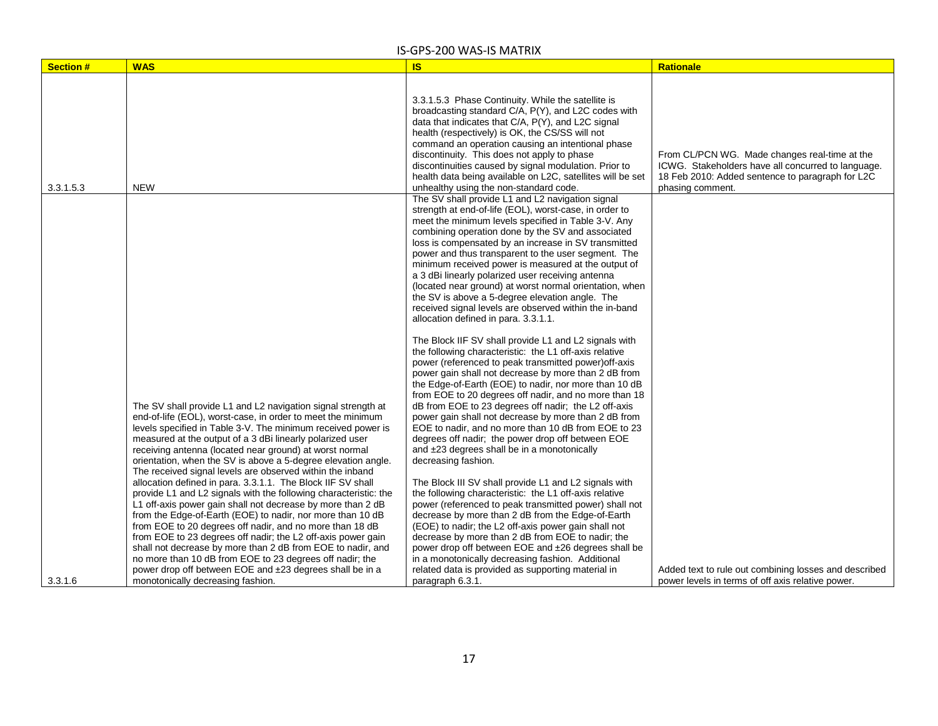| <b>Section#</b> | <b>WAS</b>                                                                                                                                                                                                                                                                                                                                                                                                                                                                                                                                                                                                                                                                                                                                                                                                                                                                                                                 | <b>IS</b>                                                                                                                                                                                                                                                                                                                                                                                                                                                                                                                                                                                                                                                                                                                                                                                                                                                                                                                                                                                                                                                                                                                                                                                                                                                                                                                                                                                                                                                                                                                                                                                                                                                                                                                                                                 | <b>Rationale</b>                                                                                                                                        |
|-----------------|----------------------------------------------------------------------------------------------------------------------------------------------------------------------------------------------------------------------------------------------------------------------------------------------------------------------------------------------------------------------------------------------------------------------------------------------------------------------------------------------------------------------------------------------------------------------------------------------------------------------------------------------------------------------------------------------------------------------------------------------------------------------------------------------------------------------------------------------------------------------------------------------------------------------------|---------------------------------------------------------------------------------------------------------------------------------------------------------------------------------------------------------------------------------------------------------------------------------------------------------------------------------------------------------------------------------------------------------------------------------------------------------------------------------------------------------------------------------------------------------------------------------------------------------------------------------------------------------------------------------------------------------------------------------------------------------------------------------------------------------------------------------------------------------------------------------------------------------------------------------------------------------------------------------------------------------------------------------------------------------------------------------------------------------------------------------------------------------------------------------------------------------------------------------------------------------------------------------------------------------------------------------------------------------------------------------------------------------------------------------------------------------------------------------------------------------------------------------------------------------------------------------------------------------------------------------------------------------------------------------------------------------------------------------------------------------------------------|---------------------------------------------------------------------------------------------------------------------------------------------------------|
|                 |                                                                                                                                                                                                                                                                                                                                                                                                                                                                                                                                                                                                                                                                                                                                                                                                                                                                                                                            | 3.3.1.5.3 Phase Continuity. While the satellite is<br>broadcasting standard C/A, P(Y), and L2C codes with<br>data that indicates that C/A, P(Y), and L2C signal<br>health (respectively) is OK, the CS/SS will not<br>command an operation causing an intentional phase<br>discontinuity. This does not apply to phase<br>discontinuities caused by signal modulation. Prior to<br>health data being available on L2C, satellites will be set                                                                                                                                                                                                                                                                                                                                                                                                                                                                                                                                                                                                                                                                                                                                                                                                                                                                                                                                                                                                                                                                                                                                                                                                                                                                                                                             | From CL/PCN WG. Made changes real-time at the<br>ICWG. Stakeholders have all concurred to language.<br>18 Feb 2010: Added sentence to paragraph for L2C |
| 3.3.1.5.3       | <b>NEW</b><br>The SV shall provide L1 and L2 navigation signal strength at<br>end-of-life (EOL), worst-case, in order to meet the minimum<br>levels specified in Table 3-V. The minimum received power is<br>measured at the output of a 3 dBi linearly polarized user<br>receiving antenna (located near ground) at worst normal<br>orientation, when the SV is above a 5-degree elevation angle.<br>The received signal levels are observed within the inband<br>allocation defined in para. 3.3.1.1. The Block IIF SV shall<br>provide L1 and L2 signals with the following characteristic: the<br>L1 off-axis power gain shall not decrease by more than 2 dB<br>from the Edge-of-Earth (EOE) to nadir, nor more than 10 dB<br>from EOE to 20 degrees off nadir, and no more than 18 dB<br>from EOE to 23 degrees off nadir; the L2 off-axis power gain<br>shall not decrease by more than 2 dB from EOE to nadir, and | unhealthy using the non-standard code.<br>The SV shall provide L1 and L2 navigation signal<br>strength at end-of-life (EOL), worst-case, in order to<br>meet the minimum levels specified in Table 3-V. Any<br>combining operation done by the SV and associated<br>loss is compensated by an increase in SV transmitted<br>power and thus transparent to the user segment. The<br>minimum received power is measured at the output of<br>a 3 dBi linearly polarized user receiving antenna<br>(located near ground) at worst normal orientation, when<br>the SV is above a 5-degree elevation angle. The<br>received signal levels are observed within the in-band<br>allocation defined in para. 3.3.1.1.<br>The Block IIF SV shall provide L1 and L2 signals with<br>the following characteristic: the L1 off-axis relative<br>power (referenced to peak transmitted power) off-axis<br>power gain shall not decrease by more than 2 dB from<br>the Edge-of-Earth (EOE) to nadir, nor more than 10 dB<br>from EOE to 20 degrees off nadir, and no more than 18<br>dB from EOE to 23 degrees off nadir; the L2 off-axis<br>power gain shall not decrease by more than 2 dB from<br>EOE to nadir, and no more than 10 dB from EOE to 23<br>degrees off nadir; the power drop off between EOE<br>and ±23 degrees shall be in a monotonically<br>decreasing fashion.<br>The Block III SV shall provide L1 and L2 signals with<br>the following characteristic: the L1 off-axis relative<br>power (referenced to peak transmitted power) shall not<br>decrease by more than 2 dB from the Edge-of-Earth<br>(EOE) to nadir; the L2 off-axis power gain shall not<br>decrease by more than 2 dB from EOE to nadir; the<br>power drop off between EOE and ±26 degrees shall be | phasing comment.                                                                                                                                        |
| 3.3.1.6         | no more than 10 dB from EOE to 23 degrees off nadir; the<br>power drop off between EOE and ±23 degrees shall be in a<br>monotonically decreasing fashion.                                                                                                                                                                                                                                                                                                                                                                                                                                                                                                                                                                                                                                                                                                                                                                  | in a monotonically decreasing fashion. Additional<br>related data is provided as supporting material in<br>paragraph 6.3.1.                                                                                                                                                                                                                                                                                                                                                                                                                                                                                                                                                                                                                                                                                                                                                                                                                                                                                                                                                                                                                                                                                                                                                                                                                                                                                                                                                                                                                                                                                                                                                                                                                                               | Added text to rule out combining losses and described<br>power levels in terms of off axis relative power.                                              |